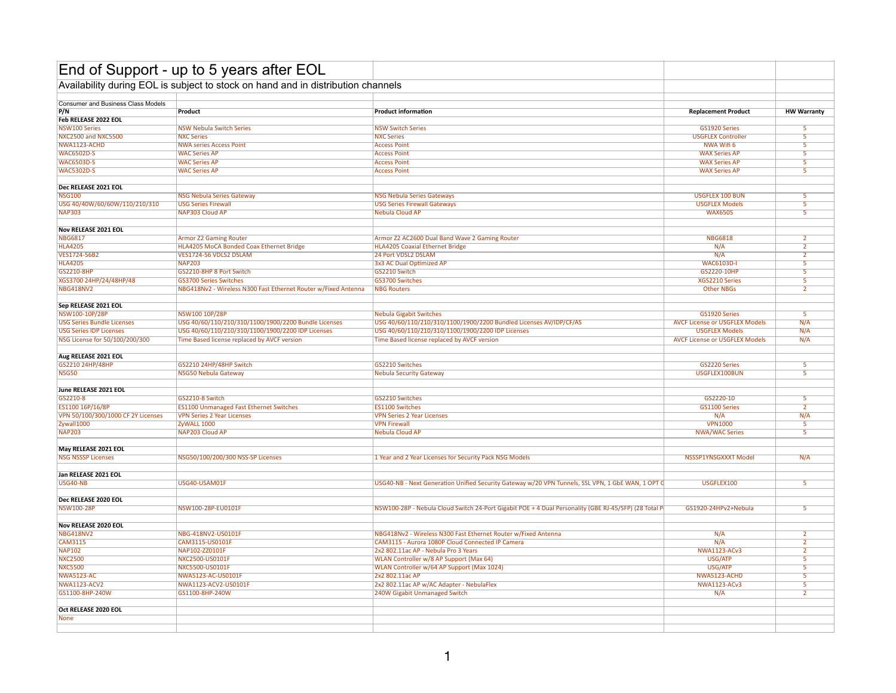|                                    | End of Support - up to 5 years after EOL                                         |                                                                                                       |                                       |                         |
|------------------------------------|----------------------------------------------------------------------------------|-------------------------------------------------------------------------------------------------------|---------------------------------------|-------------------------|
|                                    | Availability during EOL is subject to stock on hand and in distribution channels |                                                                                                       |                                       |                         |
| Consumer and Business Class Models |                                                                                  |                                                                                                       |                                       |                         |
| P/N                                | Product                                                                          | <b>Product information</b>                                                                            | <b>Replacement Product</b>            | <b>HW Warranty</b>      |
| Feb RELEASE 2022 EOL               |                                                                                  |                                                                                                       |                                       |                         |
| <b>NSW100 Series</b>               | <b>NSW Nebula Switch Series</b>                                                  | <b>NSW Switch Series</b>                                                                              | GS1920 Series                         |                         |
| NXC2500 and NXC5500                | <b>NXC Series</b>                                                                | <b>NXC Series</b>                                                                                     | <b>USGFLEX Controller</b>             | $\overline{\mathbf{5}}$ |
| NWA1123-ACHD                       | <b>NWA series Access Point</b>                                                   | <b>Access Point</b>                                                                                   | NWA Wifi 6                            | 5                       |
| <b>WAC6502D-S</b>                  | <b>WAC Series AP</b>                                                             | <b>Access Point</b>                                                                                   | <b>WAX Series AP</b>                  | 5                       |
| <b>WAC6503D-S</b>                  | <b>WAC Series AP</b>                                                             | <b>Access Point</b>                                                                                   | <b>WAX Series AP</b>                  | $\overline{5}$          |
| <b>WAC5302D-S</b>                  | <b>WAC Series AP</b>                                                             | <b>Access Point</b>                                                                                   | <b>WAX Series AP</b>                  | $\overline{5}$          |
|                                    |                                                                                  |                                                                                                       |                                       |                         |
| Dec RELEASE 2021 EOL               |                                                                                  |                                                                                                       |                                       |                         |
| <b>NSG100</b>                      | <b>NSG Nebula Series Gateway</b>                                                 | <b>NSG Nebula Series Gateways</b>                                                                     | <b>USGFLEX 100 BUN</b>                | $\overline{\mathbf{5}}$ |
| USG 40/40W/60/60W/110/210/310      | <b>USG Series Firewall</b>                                                       | <b>USG Series Firewall Gateways</b>                                                                   | <b>USGFLEX Models</b>                 | $\overline{5}$          |
| <b>NAP303</b>                      | NAP303 Cloud AP                                                                  | <b>Nebula Cloud AP</b>                                                                                | <b>WAX650S</b>                        | $\overline{5}$          |
|                                    |                                                                                  |                                                                                                       |                                       |                         |
| Nov RELEASE 2021 EOL               |                                                                                  |                                                                                                       |                                       |                         |
| <b>NBG6817</b>                     | <b>Armor Z2 Gaming Router</b>                                                    | Armor Z2 AC2600 Dual Band Wave 2 Gaming Router                                                        | <b>NBG6818</b>                        | $\overline{2}$          |
| <b>HLA4205</b>                     | HLA4205 MoCA Bonded Coax Ethernet Bridge                                         | <b>HLA4205 Coaxial Ethernet Bridge</b>                                                                | N/A                                   | $\overline{2}$          |
| VES1724-56B2                       | VES1724-56 VDLS2 DSLAM                                                           | 24 Port VDSL2 DSLAM                                                                                   | N/A                                   | $\overline{2}$          |
| <b>HLA4205</b>                     | <b>NAP203</b>                                                                    | 3x3 AC Dual Optimized AP                                                                              | <b>WAC6103D-I</b>                     | -5                      |
| GS2210-8HP                         | GS2210-8HP 8 Port Switch                                                         | GS2210 Switch                                                                                         | GS2220-10HP                           | 5                       |
| XGS3700 24HP/24/48HP/48            | <b>GS3700 Series Switches</b>                                                    | <b>GS3700 Switches</b>                                                                                | XGS2210 Series                        | $\overline{5}$          |
| <b>NBG418NV2</b>                   | NBG418Nv2 - Wireless N300 Fast Ethernet Router w/Fixed Antenna                   | <b>NBG Routers</b>                                                                                    | <b>Other NBGs</b>                     | $\overline{2}$          |
|                                    |                                                                                  |                                                                                                       |                                       |                         |
| Sep RELEASE 2021 EOL               |                                                                                  |                                                                                                       |                                       |                         |
| NSW100-10P/28P                     | NSW100 10P/28P                                                                   | <b>Nebula Gigabit Switches</b>                                                                        | GS1920 Series                         | -5                      |
| <b>USG Series Bundle Licenses</b>  | USG 40/60/110/210/310/1100/1900/2200 Bundle Licenses                             | USG 40/60/110/210/310/1100/1900/2200 Bundled Licenses AV/IDP/CF/AS                                    | <b>AVCF License or USGFLEX Models</b> | N/A                     |
| <b>USG Series IDP Licenses</b>     | USG 40/60/110/210/310/1100/1900/2200 IDP Licenses                                | USG 40/60/110/210/310/1100/1900/2200 IDP Licenses                                                     | <b>USGFLEX Models</b>                 | N/A                     |
| NSG License for 50/100/200/300     | Time Based license replaced by AVCF version                                      | Time Based license replaced by AVCF version                                                           | <b>AVCF License or USGFLEX Models</b> | N/A                     |
|                                    |                                                                                  |                                                                                                       |                                       |                         |
| Aug RELEASE 2021 EOL               |                                                                                  |                                                                                                       |                                       |                         |
| GS2210 24HP/48HP                   | GS2210 24HP/48HP Switch                                                          | GS2210 Switches                                                                                       | GS2220 Series                         | $\overline{\mathbf{5}}$ |
| <b>NSG50</b>                       | NSG50 Nebula Gateway                                                             | <b>Nebula Security Gateway</b>                                                                        | USGFLEX100BUN                         | $\overline{\mathbf{5}}$ |
|                                    |                                                                                  |                                                                                                       |                                       |                         |
| June RELEASE 2021 EOL              |                                                                                  |                                                                                                       |                                       |                         |
| GS2210-8                           | GS2210-8 Switch                                                                  | GS2210 Switches                                                                                       | GS2220-10                             | $\overline{\mathbf{5}}$ |
|                                    |                                                                                  |                                                                                                       |                                       | $\overline{2}$          |
| ES1100 16P/16/8P                   | <b>ES1100 Unmanaged Fast Ethernet Switches</b>                                   | <b>ES1100 Switches</b>                                                                                | GS1100 Series                         |                         |
| VPN 50/100/300/1000 CF 2Y Licenses | <b>VPN Series 2 Year Licenses</b>                                                | <b>VPN Series 2 Year Licenses</b>                                                                     | N/A                                   | N/A                     |
| Zywall1000                         | ZyWALL 1000                                                                      | <b>VPN Firewall</b>                                                                                   | <b>VPN1000</b>                        | 5                       |
| <b>NAP203</b>                      | NAP203 Cloud AF                                                                  | Nebula Cloud AP                                                                                       | <b>NWA/WAC Series</b>                 | $\overline{\mathbf{5}}$ |
| May RELEASE 2021 EOL               |                                                                                  |                                                                                                       |                                       |                         |
|                                    |                                                                                  |                                                                                                       |                                       |                         |
| <b>NSG NSSSP Licenses</b>          | NSG50/100/200/300 NSS-SP Licenses                                                | 1 Year and 2 Year Licenses for Security Pack NSG Models                                               | NSSSP1YNSGXXXT Model                  | N/A                     |
|                                    |                                                                                  |                                                                                                       |                                       |                         |
| Jan RELEASE 2021 EOL               |                                                                                  |                                                                                                       |                                       |                         |
| <b>USG40-NB</b>                    | USG40-USAM01F                                                                    | USG40-NB - Next Generation Unified Security Gateway w/20 VPN Tunnels, SSL VPN, 1 GbE WAN, 1 OPT C     | USGFLEX100                            | $\overline{5}$          |
|                                    |                                                                                  |                                                                                                       |                                       |                         |
| Dec RELEASE 2020 EOL               |                                                                                  |                                                                                                       |                                       |                         |
| <b>NSW100-28P</b>                  | NSW100-28P-EU0101F                                                               | NSW100-28P - Nebula Cloud Switch 24-Port Gigabit POE + 4 Dual Personality (GBE RJ-45/SFP) (28 Total P | GS1920-24HPv2+Nebula                  | 5 <sup>2</sup>          |
|                                    |                                                                                  |                                                                                                       |                                       |                         |
| Nov RELEASE 2020 EOL               |                                                                                  |                                                                                                       |                                       |                         |
| <b>NBG418NV2</b>                   | NBG-418NV2-US0101F                                                               | NBG418Nv2 - Wireless N300 Fast Ethernet Router w/Fixed Antenna                                        | N/A                                   |                         |
| <b>CAM3115</b>                     | CAM3115-US0101F                                                                  | CAM3115 - Aurora 1080P Cloud Connected IP Camera                                                      | N/A                                   | $\overline{2}$          |
| <b>NAP102</b>                      | NAP102-ZZ0101F                                                                   | 2x2 802.11ac AP - Nebula Pro 3 Years                                                                  | <b>NWA1123-ACv3</b>                   | $\overline{2}$          |
| <b>NXC2500</b>                     | NXC2500-US0101F                                                                  | WLAN Controller w/8 AP Support (Max 64)                                                               | USG/ATP                               | 5                       |
| <b>NXC5500</b>                     | NXC5500-US0101F                                                                  | WLAN Controller w/64 AP Support (Max 1024)                                                            | USG/ATP                               | $\overline{\mathbf{5}}$ |
| <b>NWA5123-AC</b>                  | NWA5123-AC-US0101F                                                               | 2x2 802.11ac AP                                                                                       | NWA5123-ACHD                          | $\overline{\mathbf{5}}$ |
| <b>NWA1123-ACV2</b>                | NWA1123-ACV2-US0101F                                                             | 2x2 802.11ac AP w/AC Adapter - NebulaFlex                                                             | <b>NWA1123-ACv3</b>                   | -5                      |
| GS1100-8HP-240W                    | GS1100-8HP-240W                                                                  | 240W Gigabit Unmanaged Switch                                                                         | N/A                                   | $\overline{2}$          |
|                                    |                                                                                  |                                                                                                       |                                       |                         |
| Oct RELEASE 2020 EOL               |                                                                                  |                                                                                                       |                                       |                         |
| <b>None</b>                        |                                                                                  |                                                                                                       |                                       |                         |
|                                    |                                                                                  |                                                                                                       |                                       |                         |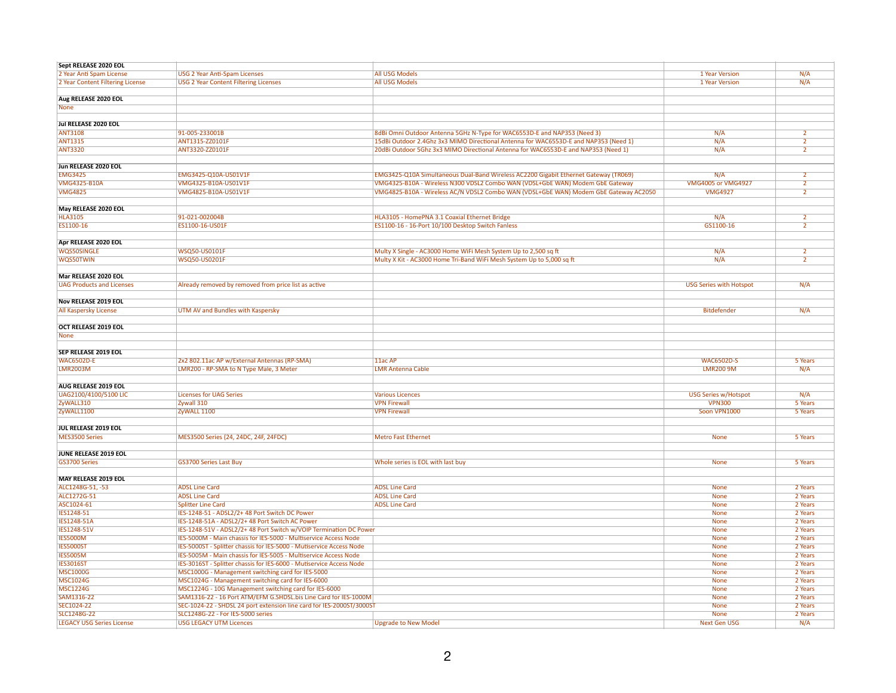| Sept RELEASE 2020 EOL            |                                                                       |                                                                                      |                                |                |
|----------------------------------|-----------------------------------------------------------------------|--------------------------------------------------------------------------------------|--------------------------------|----------------|
| 2 Year Anti Spam License         | <b>USG 2 Year Anti-Spam Licenses</b>                                  | <b>All USG Models</b>                                                                | 1 Year Version                 | N/A            |
| 2 Year Content Filtering License | <b>USG 2 Year Content Filtering Licenses</b>                          | <b>All USG Models</b>                                                                | 1 Year Version                 | N/A            |
|                                  |                                                                       |                                                                                      |                                |                |
| Aug RELEASE 2020 EOL             |                                                                       |                                                                                      |                                |                |
|                                  |                                                                       |                                                                                      |                                |                |
| <b>None</b>                      |                                                                       |                                                                                      |                                |                |
|                                  |                                                                       |                                                                                      |                                |                |
| Jul RELEASE 2020 EOL             |                                                                       |                                                                                      |                                |                |
| <b>ANT3108</b>                   | 91-005-233001B                                                        | 8dBi Omni Outdoor Antenna 5GHz N-Type for WAC6553D-E and NAP353 (Need 3)             | N/A                            |                |
| <b>ANT1315</b>                   | ANT1315-ZZ0101F                                                       | 15dBi Outdoor 2.4Ghz 3x3 MIMO Directional Antenna for WAC6553D-E and NAP353 (Need 1) | N/A                            | $\overline{2}$ |
| <b>ANT3320</b>                   | ANT3320-ZZ0101F                                                       | 20dBi Outdoor 5Ghz 3x3 MIMO Directional Antenna for WAC6553D-E and NAP353 (Need 1)   | N/A                            |                |
|                                  |                                                                       |                                                                                      |                                |                |
| Jun RELEASE 2020 EOL             |                                                                       |                                                                                      |                                |                |
| <b>EMG3425</b>                   | EMG3425-Q10A-US01V1F                                                  | EMG3425-Q10A Simultaneous Dual-Band Wireless AC2200 Gigabit Ethernet Gateway (TR069) | N/A                            | $\overline{2}$ |
|                                  |                                                                       |                                                                                      |                                |                |
| <b>VMG4325-B10A</b>              | VMG4325-B10A-US01V1F                                                  | VMG4325-B10A - Wireless N300 VDSL2 Combo WAN (VDSL+GbE WAN) Modem GbE Gateway        | <b>VMG4005 or VMG4927</b>      | $\overline{2}$ |
| <b>VMG4825</b>                   | VMG4825-B10A-US01V1F                                                  | VMG4825-B10A - Wireless AC/N VDSL2 Combo WAN (VDSL+GbE WAN) Modem GbE Gateway AC2050 | <b>VMG4927</b>                 |                |
|                                  |                                                                       |                                                                                      |                                |                |
| May RELEASE 2020 EOL             |                                                                       |                                                                                      |                                |                |
| <b>HLA3105</b>                   | 91-021-002004B                                                        | HLA3105 - HomePNA 3.1 Coaxial Ethernet Bridge                                        | N/A                            |                |
| ES1100-16                        | ES1100-16-US01F                                                       | ES1100-16 - 16-Port 10/100 Desktop Switch Fanless                                    | GS1100-16                      | $\overline{2}$ |
|                                  |                                                                       |                                                                                      |                                |                |
|                                  |                                                                       |                                                                                      |                                |                |
| Apr RELEASE 2020 EOL             |                                                                       |                                                                                      |                                |                |
| <b>WQS50SINGLE</b>               | WSQ50-US0101F                                                         | Multy X Single - AC3000 Home WiFi Mesh System Up to 2,500 sq ft                      | N/A                            |                |
| WQS50TWIN                        | WSQ50-US0201F                                                         | Multy X Kit - AC3000 Home Tri-Band WiFi Mesh System Up to 5,000 sq ft                | N/A                            |                |
|                                  |                                                                       |                                                                                      |                                |                |
| Mar RELEASE 2020 EOL             |                                                                       |                                                                                      |                                |                |
| <b>UAG Products and Licenses</b> | Already removed by removed from price list as active                  |                                                                                      | <b>USG Series with Hotspot</b> | N/A            |
|                                  |                                                                       |                                                                                      |                                |                |
| Nov RELEASE 2019 EOL             |                                                                       |                                                                                      |                                |                |
|                                  |                                                                       |                                                                                      |                                |                |
| All Kaspersky License            | <b>UTM AV and Bundles with Kaspersky</b>                              |                                                                                      | <b>Bitdefender</b>             | N/A            |
|                                  |                                                                       |                                                                                      |                                |                |
| OCT RELEASE 2019 EOL             |                                                                       |                                                                                      |                                |                |
| None                             |                                                                       |                                                                                      |                                |                |
|                                  |                                                                       |                                                                                      |                                |                |
| SEP RELEASE 2019 EOL             |                                                                       |                                                                                      |                                |                |
| <b>WAC6502D-E</b>                | 2x2 802.11ac AP w/External Antennas (RP-SMA)                          | 11ac AP                                                                              | <b>WAC6502D-S</b>              | 5 Years        |
|                                  |                                                                       |                                                                                      |                                |                |
| <b>LMR2003M</b>                  | LMR200 - RP-SMA to N Type Male, 3 Meter                               | <b>LMR Antenna Cable</b>                                                             | <b>LMR200 9M</b>               | N/A            |
|                                  |                                                                       |                                                                                      |                                |                |
| AUG RELEASE 2019 EOL             |                                                                       |                                                                                      |                                |                |
| UAG2100/4100/5100 LIC            | <b>Licenses for UAG Series</b>                                        | <b>Various Licences</b>                                                              | <b>USG Series w/Hotspot</b>    | N/A            |
| ZyWALL310                        | Zywall 310                                                            | <b>VPN Firewall</b>                                                                  | <b>VPN300</b>                  | 5 Years        |
| ZyWALL1100                       | ZyWALL 1100                                                           | <b>VPN Firewall</b>                                                                  | Soon VPN1000                   | 5 Years        |
|                                  |                                                                       |                                                                                      |                                |                |
| JUL RELEASE 2019 EOL             |                                                                       |                                                                                      |                                |                |
|                                  |                                                                       |                                                                                      |                                |                |
| MES3500 Series                   | MES3500 Series (24, 24DC, 24F, 24FDC)                                 | <b>Metro Fast Ethernet</b>                                                           | <b>None</b>                    | 5 Years        |
|                                  |                                                                       |                                                                                      |                                |                |
| JUNE RELEASE 2019 EOL            |                                                                       |                                                                                      |                                |                |
| GS3700 Series                    | <b>GS3700 Series Last Buy</b>                                         | Whole series is EOL with last buy                                                    | <b>None</b>                    | 5 Years        |
|                                  |                                                                       |                                                                                      |                                |                |
| MAY RELEASE 2019 EOL             |                                                                       |                                                                                      |                                |                |
| ALC1248G-51, -53                 | <b>ADSL Line Card</b>                                                 | <b>ADSL Line Card</b>                                                                | <b>None</b>                    | 2 Years        |
| ALC1272G-51                      | <b>ADSL Line Card</b>                                                 | <b>ADSL Line Card</b>                                                                |                                | 2 Years        |
|                                  |                                                                       |                                                                                      | <b>None</b>                    |                |
| ASC1024-61                       | <b>Splitter Line Card</b>                                             | <b>ADSL Line Card</b>                                                                | <b>None</b>                    | 2 Years        |
| IES1248-51                       | IES-1248-51 - ADSL2/2+48 Port Switch DC Power                         |                                                                                      | <b>None</b>                    | 2 Years        |
| <b>IES1248-51A</b>               | IES-1248-51A - ADSL2/2+48 Port Switch AC Power                        |                                                                                      | <b>None</b>                    | 2 Years        |
| IES1248-51V                      | IES-1248-51V - ADSL2/2+48 Port Switch w/VOIP Termination DC Power     |                                                                                      | <b>None</b>                    | 2 Years        |
| <b>IES5000M</b>                  | IES-5000M - Main chassis for IES-5000 - Multiservice Access Node      |                                                                                      | <b>None</b>                    | 2 Years        |
| <b>IES5000ST</b>                 | IES-5000ST - Splitter chassis for IES-5000 - Mutiservice Access Node  |                                                                                      | <b>None</b>                    | 2 Years        |
| <b>IES5005M</b>                  |                                                                       |                                                                                      |                                |                |
|                                  | IES-5005M - Main chassis for IES-5005 - Multiservice Access Node      |                                                                                      | <b>None</b>                    | 2 Years        |
| <b>IES3016ST</b>                 | IES-3016ST - Splitter chassis for IES-6000 - Mutiservice Access Node  |                                                                                      | <b>None</b>                    | 2 Years        |
| <b>MSC1000G</b>                  | MSC1000G - Management switching card for IES-5000                     |                                                                                      | <b>None</b>                    | 2 Years        |
| <b>MSC1024G</b>                  | MSC1024G - Management switching card for IES-6000                     |                                                                                      | <b>None</b>                    | 2 Years        |
| <b>MSC1224G</b>                  | MSC1224G - 10G Management switching card for IES-6000                 |                                                                                      | <b>None</b>                    | 2 Years        |
| SAM1316-22                       | SAM1316-22 - 16 Port ATM/EFM G.SHDSL.bis Line Card for IES-1000M      |                                                                                      | <b>None</b>                    | 2 Years        |
| SEC1024-22                       | SEC-1024-22 - SHDSL 24 port extension line card for IES-2000ST/3000ST |                                                                                      | <b>None</b>                    | 2 Years        |
| SLC1248G-22                      | SLC1248G-22 - For IES-5000 series                                     |                                                                                      | <b>None</b>                    | 2 Years        |
|                                  |                                                                       |                                                                                      |                                |                |
| <b>LEGACY USG Series License</b> | <b>USG LEGACY UTM Licences</b>                                        | <b>Upgrade to New Model</b>                                                          | <b>Next Gen USG</b>            | N/A            |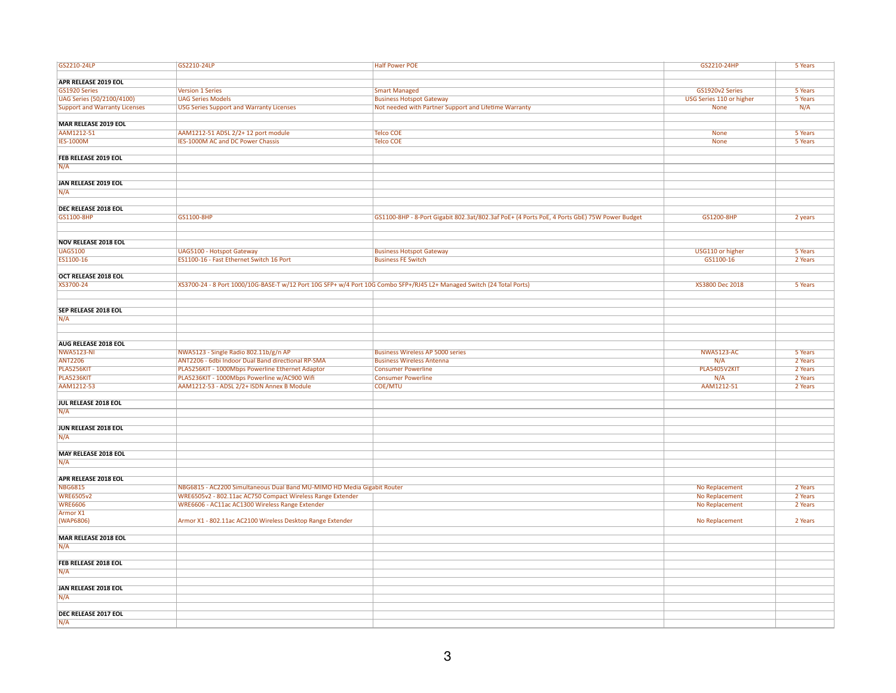| GS2210-24LP                          | GS2210-24LP                                                                                                            | <b>Half Power POE</b>                                                                        | GS2210-24HP              | 5 Years |
|--------------------------------------|------------------------------------------------------------------------------------------------------------------------|----------------------------------------------------------------------------------------------|--------------------------|---------|
|                                      |                                                                                                                        |                                                                                              |                          |         |
| <b>APR RELEASE 2019 EOL</b>          |                                                                                                                        |                                                                                              |                          |         |
| GS1920 Series                        | <b>Version 1 Series</b>                                                                                                | <b>Smart Managed</b>                                                                         | GS1920v2 Series          | 5 Years |
|                                      |                                                                                                                        |                                                                                              |                          |         |
| UAG Series (50/2100/4100)            | <b>UAG Series Models</b>                                                                                               | <b>Business Hotspot Gateway</b>                                                              | USG Series 110 or higher | 5 Years |
| <b>Support and Warranty Licenses</b> | <b>USG Series Support and Warranty Licenses</b>                                                                        | Not needed with Partner Support and Lifetime Warranty                                        | <b>None</b>              | N/A     |
|                                      |                                                                                                                        |                                                                                              |                          |         |
| <b>MAR RELEASE 2019 EOL</b>          |                                                                                                                        |                                                                                              |                          |         |
| AAM1212-51                           | AAM1212-51 ADSL 2/2+ 12 port module                                                                                    | <b>Telco COE</b>                                                                             | <b>None</b>              | 5 Years |
| <b>IES-1000M</b>                     | IES-1000M AC and DC Power Chassis                                                                                      | <b>Telco COE</b>                                                                             | <b>None</b>              | 5 Years |
|                                      |                                                                                                                        |                                                                                              |                          |         |
| FEB RELEASE 2019 EOL                 |                                                                                                                        |                                                                                              |                          |         |
| N/A                                  |                                                                                                                        |                                                                                              |                          |         |
|                                      |                                                                                                                        |                                                                                              |                          |         |
| JAN RELEASE 2019 EOL                 |                                                                                                                        |                                                                                              |                          |         |
|                                      |                                                                                                                        |                                                                                              |                          |         |
| N/A                                  |                                                                                                                        |                                                                                              |                          |         |
|                                      |                                                                                                                        |                                                                                              |                          |         |
| <b>DEC RELEASE 2018 EOL</b>          |                                                                                                                        |                                                                                              |                          |         |
| GS1100-8HP                           | GS1100-8HP                                                                                                             | GS1100-8HP - 8-Port Gigabit 802.3at/802.3af PoE+ (4 Ports PoE, 4 Ports GbE) 75W Power Budget | GS1200-8HP               | 2 years |
|                                      |                                                                                                                        |                                                                                              |                          |         |
|                                      |                                                                                                                        |                                                                                              |                          |         |
| <b>NOV RELEASE 2018 EOL</b>          |                                                                                                                        |                                                                                              |                          |         |
| <b>UAG5100</b>                       | <b>UAG5100 - Hotspot Gateway</b>                                                                                       | <b>Business Hotspot Gateway</b>                                                              | USG110 or higher         | 5 Years |
| ES1100-16                            | ES1100-16 - Fast Ethernet Switch 16 Port                                                                               | <b>Business FE Switch</b>                                                                    | GS1100-16                | 2 Years |
|                                      |                                                                                                                        |                                                                                              |                          |         |
| OCT RELEASE 2018 EOL                 |                                                                                                                        |                                                                                              |                          |         |
|                                      |                                                                                                                        |                                                                                              |                          |         |
| XS3700-24                            | XS3700-24 - 8 Port 1000/10G-BASE-T w/12 Port 10G SFP+ w/4 Port 10G Combo SFP+/RJ45 L2+ Managed Switch (24 Total Ports) |                                                                                              | XS3800 Dec 2018          | 5 Years |
|                                      |                                                                                                                        |                                                                                              |                          |         |
|                                      |                                                                                                                        |                                                                                              |                          |         |
| <b>SEP RELEASE 2018 EOL</b>          |                                                                                                                        |                                                                                              |                          |         |
| N/A                                  |                                                                                                                        |                                                                                              |                          |         |
|                                      |                                                                                                                        |                                                                                              |                          |         |
|                                      |                                                                                                                        |                                                                                              |                          |         |
| AUG RELEASE 2018 EOL                 |                                                                                                                        |                                                                                              |                          |         |
| <b>NWA5123-NI</b>                    | NWA5123 - Single Radio 802.11b/g/n AP                                                                                  | <b>Business Wireless AP 5000 series</b>                                                      | <b>NWA5123-AC</b>        | 5 Years |
| <b>ANT2206</b>                       | ANT2206 - 6dbi Indoor Dual Band directional RP-SMA                                                                     | <b>Business Wireless Antenna</b>                                                             | N/A                      | 2 Years |
|                                      |                                                                                                                        | <b>Consumer Powerline</b>                                                                    |                          | 2 Years |
| PLA5256KIT                           | PLA5256KIT - 1000Mbps Powerline Ethernet Adaptor                                                                       |                                                                                              | <b>PLA5405V2KIT</b>      |         |
| PLA5236KIT                           | PLA5236KIT - 1000Mbps Powerline w/AC900 Wifi                                                                           | <b>Consumer Powerline</b>                                                                    | N/A                      | 2 Years |
| AAM1212-53                           | AAM1212-53 - ADSL 2/2+ ISDN Annex B Module                                                                             | <b>COE/MTU</b>                                                                               | AAM1212-51               | 2 Years |
|                                      |                                                                                                                        |                                                                                              |                          |         |
| JUL RELEASE 2018 EOL                 |                                                                                                                        |                                                                                              |                          |         |
| N/A                                  |                                                                                                                        |                                                                                              |                          |         |
|                                      |                                                                                                                        |                                                                                              |                          |         |
| JUN RELEASE 2018 EOL                 |                                                                                                                        |                                                                                              |                          |         |
| N/A                                  |                                                                                                                        |                                                                                              |                          |         |
|                                      |                                                                                                                        |                                                                                              |                          |         |
| <b>MAY RELEASE 2018 EOL</b>          |                                                                                                                        |                                                                                              |                          |         |
| N/A                                  |                                                                                                                        |                                                                                              |                          |         |
|                                      |                                                                                                                        |                                                                                              |                          |         |
|                                      |                                                                                                                        |                                                                                              |                          |         |
| APR RELEASE 2018 EOL                 |                                                                                                                        |                                                                                              |                          |         |
| <b>NBG6815</b>                       | NBG6815 - AC2200 Simultaneous Dual Band MU-MIMO HD Media Gigabit Router                                                |                                                                                              | No Replacement           | 2 Years |
| <b>WRE6505v2</b>                     | WRE6505v2 - 802.11ac AC750 Compact Wireless Range Extender                                                             |                                                                                              | No Replacement           | 2 Years |
| <b>WRE6606</b>                       | WRE6606 - AC11ac AC1300 Wireless Range Extender                                                                        |                                                                                              | No Replacement           | 2 Years |
| Armor X1                             |                                                                                                                        |                                                                                              |                          |         |
| (WAP6806)                            | Armor X1 - 802.11ac AC2100 Wireless Desktop Range Extender                                                             |                                                                                              | No Replacement           | 2 Years |
|                                      |                                                                                                                        |                                                                                              |                          |         |
| <b>MAR RELEASE 2018 EOL</b>          |                                                                                                                        |                                                                                              |                          |         |
| N/A                                  |                                                                                                                        |                                                                                              |                          |         |
|                                      |                                                                                                                        |                                                                                              |                          |         |
| FEB RELEASE 2018 EOL                 |                                                                                                                        |                                                                                              |                          |         |
| N/A                                  |                                                                                                                        |                                                                                              |                          |         |
|                                      |                                                                                                                        |                                                                                              |                          |         |
|                                      |                                                                                                                        |                                                                                              |                          |         |
| <b>JAN RELEASE 2018 EOL</b>          |                                                                                                                        |                                                                                              |                          |         |
| N/A                                  |                                                                                                                        |                                                                                              |                          |         |
|                                      |                                                                                                                        |                                                                                              |                          |         |
| DEC RELEASE 2017 EOL                 |                                                                                                                        |                                                                                              |                          |         |
| N/A                                  |                                                                                                                        |                                                                                              |                          |         |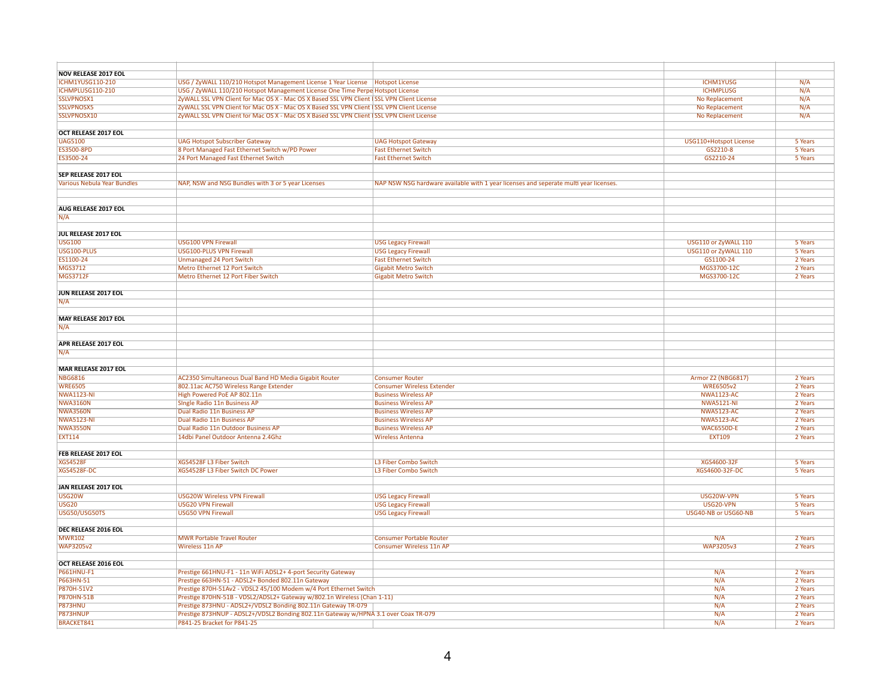| <b>NOV RELEASE 2017 EOL</b>        |                                                                                            |                                                                                       |                           |         |
|------------------------------------|--------------------------------------------------------------------------------------------|---------------------------------------------------------------------------------------|---------------------------|---------|
| <b>ICHM1YUSG110-210</b>            |                                                                                            |                                                                                       | <b>ICHM1YUSG</b>          | N/A     |
|                                    | USG / ZyWALL 110/210 Hotspot Management License 1 Year License   Hotspot License           |                                                                                       |                           |         |
| ICHMPLUSG110-210                   | USG / ZyWALL 110/210 Hotspot Management License One Time Perpe Hotspot License             |                                                                                       | <b>ICHMPLUSG</b>          | N/A     |
| SSLVPNOSX1                         | ZyWALL SSL VPN Client for Mac OS X - Mac OS X Based SSL VPN Client (SSL VPN Client License |                                                                                       | No Replacement            | N/A     |
| <b>SSLVPNOSX5</b>                  | ZyWALL SSL VPN Client for Mac OS X - Mac OS X Based SSL VPN Client (SSL VPN Client License |                                                                                       | No Replacement            | N/A     |
| SSLVPNOSX10                        | ZyWALL SSL VPN Client for Mac OS X - Mac OS X Based SSL VPN Client SSL VPN Client License  |                                                                                       | No Replacement            | N/A     |
|                                    |                                                                                            |                                                                                       |                           |         |
| OCT RELEASE 2017 EOL               |                                                                                            |                                                                                       |                           |         |
| <b>UAG5100</b>                     |                                                                                            |                                                                                       | USG110+Hotspot License    | 5 Years |
|                                    | <b>UAG Hotspot Subscriber Gateway</b>                                                      | <b>UAG Hotspot Gateway</b>                                                            |                           |         |
| ES3500-8PD                         | 8 Port Managed Fast Ethernet Switch w/PD Power                                             | <b>Fast Ethernet Switch</b>                                                           | GS2210-8                  | 5 Years |
| ES3500-24                          | 24 Port Managed Fast Ethernet Switch                                                       | <b>Fast Ethernet Switch</b>                                                           | GS2210-24                 | 5 Years |
|                                    |                                                                                            |                                                                                       |                           |         |
| SEP RELEASE 2017 EOL               |                                                                                            |                                                                                       |                           |         |
| <b>Various Nebula Year Bundles</b> | NAP, NSW and NSG Bundles with 3 or 5 year Licenses                                         | NAP NSW NSG hardware available with 1 year licenses and seperate multi year licenses. |                           |         |
|                                    |                                                                                            |                                                                                       |                           |         |
|                                    |                                                                                            |                                                                                       |                           |         |
|                                    |                                                                                            |                                                                                       |                           |         |
| AUG RELEASE 2017 EOL               |                                                                                            |                                                                                       |                           |         |
| N/A                                |                                                                                            |                                                                                       |                           |         |
|                                    |                                                                                            |                                                                                       |                           |         |
| JUL RELEASE 2017 EOL               |                                                                                            |                                                                                       |                           |         |
| <b>USG100</b>                      | <b>USG100 VPN Firewall</b>                                                                 | <b>USG Legacy Firewall</b>                                                            | USG110 or ZyWALL 110      | 5 Years |
| USG100-PLUS                        |                                                                                            |                                                                                       |                           |         |
|                                    | <b>USG100-PLUS VPN Firewall</b>                                                            | <b>USG Legacy Firewall</b>                                                            | USG110 or ZyWALL 110      | 5 Years |
| ES1100-24                          | <b>Unmanaged 24 Port Switch</b>                                                            | <b>Fast Ethernet Switch</b>                                                           | GS1100-24                 | 2 Years |
| MGS3712                            | Metro Ethernet 12 Port Switch                                                              | <b>Gigabit Metro Switch</b>                                                           | MGS3700-12C               | 2 Years |
| <b>MGS3712F</b>                    | Metro Ethernet 12 Port Fiber Switch                                                        | <b>Gigabit Metro Switch</b>                                                           | MGS3700-12C               | 2 Years |
|                                    |                                                                                            |                                                                                       |                           |         |
| JUN RELEASE 2017 EOL               |                                                                                            |                                                                                       |                           |         |
|                                    |                                                                                            |                                                                                       |                           |         |
| N/A                                |                                                                                            |                                                                                       |                           |         |
|                                    |                                                                                            |                                                                                       |                           |         |
| <b>MAY RELEASE 2017 EOL</b>        |                                                                                            |                                                                                       |                           |         |
| N/A                                |                                                                                            |                                                                                       |                           |         |
|                                    |                                                                                            |                                                                                       |                           |         |
| APR RELEASE 2017 EOL               |                                                                                            |                                                                                       |                           |         |
| N/A                                |                                                                                            |                                                                                       |                           |         |
|                                    |                                                                                            |                                                                                       |                           |         |
|                                    |                                                                                            |                                                                                       |                           |         |
| <b>MAR RELEASE 2017 EOL</b>        |                                                                                            |                                                                                       |                           |         |
| <b>NBG6816</b>                     | AC2350 Simultaneous Dual Band HD Media Gigabit Router                                      | <b>Consumer Router</b>                                                                | <b>Armor Z2 (NBG6817)</b> | 2 Years |
| <b>WRE6505</b>                     | 802.11ac AC750 Wireless Range Extender                                                     | <b>Consumer Wireless Extender</b>                                                     | <b>WRE6505v2</b>          | 2 Years |
| <b>NWA1123-NI</b>                  | High Powered PoE AP 802.11n                                                                | <b>Business Wireless AP</b>                                                           | <b>NWA1123-AC</b>         | 2 Years |
| <b>NWA3160N</b>                    | Single Radio 11n Business AP                                                               | <b>Business Wireless AP</b>                                                           | <b>NWA5121-NI</b>         | 2 Years |
| <b>NWA3560N</b>                    | Dual Radio 11n Business AP                                                                 | <b>Business Wireless AP</b>                                                           | <b>NWA5123-AC</b>         | 2 Years |
| <b>NWA5123-NI</b>                  | Dual Radio 11n Business AP                                                                 | <b>Business Wireless AP</b>                                                           | <b>NWA5123-AC</b>         | 2 Years |
|                                    |                                                                                            |                                                                                       |                           |         |
| <b>NWA3550N</b>                    | Dual Radio 11n Outdoor Business AP                                                         | <b>Business Wireless AP</b>                                                           | <b>WAC6550D-E</b>         | 2 Years |
| <b>EXT114</b>                      | 14dbi Panel Outdoor Antenna 2.4Ghz                                                         | <b>Wireless Antenna</b>                                                               | <b>EXT109</b>             | 2 Years |
|                                    |                                                                                            |                                                                                       |                           |         |
| FEB RELEASE 2017 EOL               |                                                                                            |                                                                                       |                           |         |
| <b>XGS4528F</b>                    | XGS4528F L3 Fiber Switch                                                                   | L3 Fiber Combo Switch                                                                 | XGS4600-32F               | 5 Years |
| <b>XGS4528F-DC</b>                 | XGS4528F L3 Fiber Switch DC Power                                                          | L3 Fiber Combo Switch                                                                 | XGS4600-32F-DC            | 5 Years |
|                                    |                                                                                            |                                                                                       |                           |         |
|                                    |                                                                                            |                                                                                       |                           |         |
| <b>JAN RELEASE 2017 EOL</b>        |                                                                                            |                                                                                       |                           |         |
| USG20W                             | <b>USG20W Wireless VPN Firewall</b>                                                        | <b>USG Legacy Firewall</b>                                                            | USG20W-VPN                | 5 Years |
| <b>USG20</b>                       | <b>USG20 VPN Firewall</b>                                                                  | <b>USG Legacy Firewall</b>                                                            | USG20-VPN                 | 5 Years |
| USG50/USG50TS                      | <b>USG50 VPN Firewall</b>                                                                  | <b>USG Legacy Firewall</b>                                                            | USG40-NB or USG60-NB      | 5 Years |
|                                    |                                                                                            |                                                                                       |                           |         |
| DEC RELEASE 2016 EOL               |                                                                                            |                                                                                       |                           |         |
|                                    | <b>MWR Portable Travel Router</b>                                                          |                                                                                       | N/A                       | 2 Years |
| <b>MWR102</b>                      |                                                                                            | <b>Consumer Portable Router</b>                                                       |                           |         |
| <b>WAP3205v2</b>                   | Wireless 11n AP                                                                            | <b>Consumer Wireless 11n AP</b>                                                       | <b>WAP3205v3</b>          | 2 Years |
|                                    |                                                                                            |                                                                                       |                           |         |
| OCT RELEASE 2016 EOL               |                                                                                            |                                                                                       |                           |         |
| <b>P661HNU-F1</b>                  | Prestige 661HNU-F1 - 11n WiFi ADSL2+ 4-port Security Gateway                               |                                                                                       | N/A                       | 2 Years |
| P663HN-51                          | Prestige 663HN-51 - ADSL2+ Bonded 802.11n Gateway                                          |                                                                                       | N/A                       | 2 Years |
| P870H-51V2                         | Prestige 870H-51Av2 - VDSL2 45/100 Modem w/4 Port Ethernet Switch                          |                                                                                       | N/A                       | 2 Years |
|                                    |                                                                                            |                                                                                       |                           |         |
| <b>P870HN-51B</b>                  | Prestige 870HN-51B - VDSL2/ADSL2+ Gateway w/802.1n Wireless (Chan 1-11)                    |                                                                                       | N/A                       | 2 Years |
| <b>P873HNU</b>                     | Prestige 873HNU - ADSL2+/VDSL2 Bonding 802.11n Gateway TR-079                              |                                                                                       | N/A                       | 2 Years |
| P873HNUP                           | Prestige 873HNUP - ADSL2+/VDSL2 Bonding 802.11n Gateway w/HPNA 3.1 over Coax TR-079        |                                                                                       | N/A                       | 2 Years |
| BRACKET841                         | P841-25 Bracket for P841-25                                                                |                                                                                       | N/A                       | 2 Years |
|                                    |                                                                                            |                                                                                       |                           |         |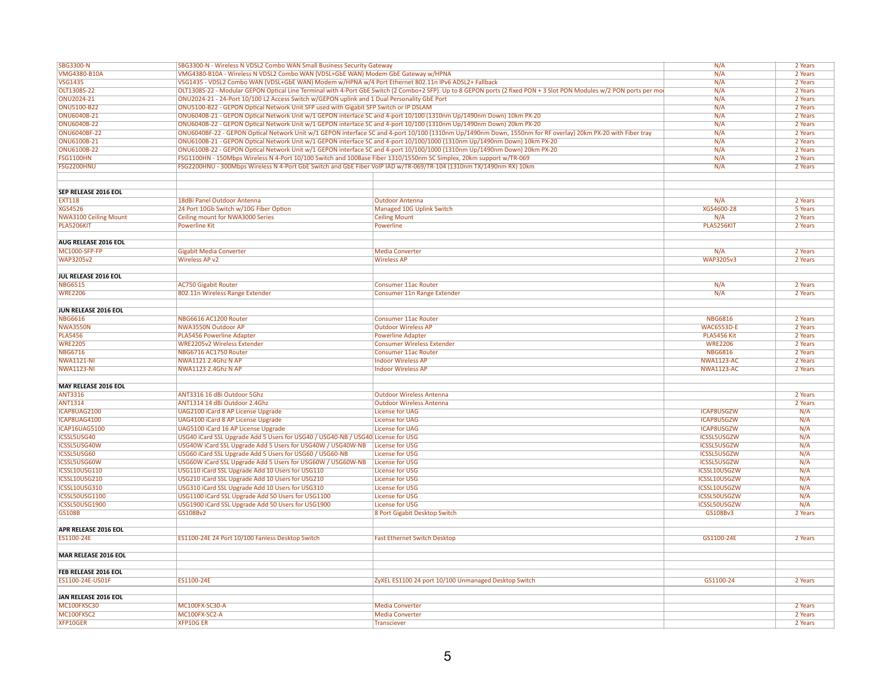| <b>SBG3300-N</b>             | SBG3300-N - Wireless N VDSL2 Combo WAN Small Business Security Gateway                                                    |                                                                                                                                                                      | N/A                | 2 Years |
|------------------------------|---------------------------------------------------------------------------------------------------------------------------|----------------------------------------------------------------------------------------------------------------------------------------------------------------------|--------------------|---------|
| <b>VMG4380-B10A</b>          | VMG4380-B10A - Wireless N VDSL2 Combo WAN (VDSL+GbE WAN) Modem GbE Gateway w/HPNA                                         |                                                                                                                                                                      | N/A                | 2 Years |
| <b>VSG1435</b>               | VSG1435 - VDSL2 Combo WAN (VDSL+GbE WAN) Modem w/HPNA w/4 Port Ethernet 802.11n IPv6 ADSL2+ Fallback                      |                                                                                                                                                                      | N/A                | 2 Years |
| OLT1308S-22                  |                                                                                                                           | OLT1308S-22 - Modular GEPON Optical Line Terminal with 4-Port GbE Switch (2 Combo+2 SFP). Up to 8 GEPON ports (2 fixed PON + 3 Slot PON Modules w/2 PON ports per mo | N/A                | 2 Years |
| ONU2024-21                   | ONU2024-21 - 24-Port 10/100 L2 Access Switch w/GEPON uplink and 1 Dual Personality GbE Port                               |                                                                                                                                                                      | N/A                | 2 Years |
| <b>ONU5100-B22</b>           | ONU5100-B22 - GEPON Optical Network Unit SFP used with Gigabit SFP Switch or IP DSLAM                                     |                                                                                                                                                                      | N/A                | 2 Years |
|                              |                                                                                                                           |                                                                                                                                                                      |                    |         |
| ONU6040B-21                  | ONU6040B-21 - GEPON Optical Network Unit w/1 GEPON interface SC and 4-port 10/100 (1310nm Up/1490nm Down) 10km PX-20      |                                                                                                                                                                      | N/A                | 2 Years |
| <b>ONU6040B-22</b>           | ONU6040B-22 - GEPON Optical Network Unit w/1 GEPON interface SC and 4-port 10/100 (1310nm Up/1490nm Down) 20km PX-20      |                                                                                                                                                                      | N/A                | 2 Years |
| <b>ONU6040BF-22</b>          |                                                                                                                           | ONU6040BF-22 - GEPON Optical Network Unit w/1 GEPON interface SC and 4-port 10/100 (1310nm Up/1490nm Down, 1550nm for RF overlay) 20km PX-20 with Fiber tray         | N/A                | 2 Years |
| ONU6100B-21                  | ONU6100B-21 - GEPON Optical Network Unit w/1 GEPON interface SC and 4-port 10/100/1000 (1310nm Up/1490nm Down) 10km PX-20 |                                                                                                                                                                      | N/A                | 2 Years |
| ONU6100B-22                  | ONU6100B-22 - GEPON Optical Network Unit w/1 GEPON interface SC and 4-port 10/100/1000 (1310nm Up/1490nm Down) 20km PX-20 |                                                                                                                                                                      | N/A                | 2 Years |
| <b>FSG1100HN</b>             | FSG1100HN - 150Mbps Wireless N 4-Port 10/100 Switch and 100Base Fiber 1310/1550nm SC Simplex, 20km support w/TR-069       |                                                                                                                                                                      | N/A                | 2 Years |
| <b>FSG2200HNU</b>            | FSG2200HNU - 300Mbps Wireless N 4-Port GbE Switch and GbE Fiber VoIP IAD w/TR-069/TR-104 (1310nm TX/1490nm RX) 10km       |                                                                                                                                                                      | N/A                | 2 Years |
|                              |                                                                                                                           |                                                                                                                                                                      |                    |         |
|                              |                                                                                                                           |                                                                                                                                                                      |                    |         |
| SEP RELEASE 2016 EOL         |                                                                                                                           |                                                                                                                                                                      |                    |         |
|                              |                                                                                                                           |                                                                                                                                                                      |                    |         |
| <b>EXT118</b>                | 18dBi Panel Outdoor Antenna                                                                                               | <b>Outdoor Antenna</b>                                                                                                                                               | N/A                | 2 Years |
| <b>XGS4526</b>               | 24 Port 10Gb Switch w/10G Fiber Option                                                                                    | <b>Managed 10G Uplink Switch</b>                                                                                                                                     | XGS4600-28         | 5 Years |
| <b>NWA3100 Ceiling Mount</b> | Ceiling mount for NWA3000 Series                                                                                          | <b>Ceiling Mount</b>                                                                                                                                                 | N/A                | 2 Years |
| PLA5206KIT                   | <b>Powerline Kit</b>                                                                                                      | Powerline                                                                                                                                                            | <b>PLA5256KIT</b>  | 2 Years |
|                              |                                                                                                                           |                                                                                                                                                                      |                    |         |
| AUG RELEASE 2016 EOL         |                                                                                                                           |                                                                                                                                                                      |                    |         |
| <b>MC1000-SFP-FP</b>         | Gigabit Media Converter                                                                                                   | <b>Media Converter</b>                                                                                                                                               | N/A                | 2 Years |
| <b>WAP3205v2</b>             | <b>Wireless AP v2</b>                                                                                                     | <b>Wireless AP</b>                                                                                                                                                   | <b>WAP3205v3</b>   | 2 Years |
|                              |                                                                                                                           |                                                                                                                                                                      |                    |         |
| JUL RELEASE 2016 EOL         |                                                                                                                           |                                                                                                                                                                      |                    |         |
|                              |                                                                                                                           |                                                                                                                                                                      |                    |         |
| <b>NBG6515</b>               | <b>AC750 Gigabit Router</b>                                                                                               | <b>Consumer 11ac Router</b>                                                                                                                                          | N/A                | 2 Years |
| <b>WRE2206</b>               | 802.11n Wireless Range Extender                                                                                           | Consumer 11n Range Extender                                                                                                                                          | N/A                | 2 Years |
|                              |                                                                                                                           |                                                                                                                                                                      |                    |         |
| JUN RELEASE 2016 EOL         |                                                                                                                           |                                                                                                                                                                      |                    |         |
| <b>NBG6616</b>               | NBG6616 AC1200 Router                                                                                                     | <b>Consumer 11ac Router</b>                                                                                                                                          | <b>NBG6816</b>     | 2 Years |
| <b>NWA3550N</b>              | <b>NWA3550N Outdoor AP</b>                                                                                                | <b>Outdoor Wireless AP</b>                                                                                                                                           | <b>WAC6553D-E</b>  | 2 Years |
| <b>PLA5456</b>               | <b>PLA5456 Powerline Adapter</b>                                                                                          | <b>Powerline Adapter</b>                                                                                                                                             | <b>PLA5456 Kit</b> | 2 Years |
| <b>WRE2205</b>               | <b>WRE2205v2 Wireless Extender</b>                                                                                        | <b>Consumer Wireless Extender</b>                                                                                                                                    | <b>WRE2206</b>     | 2 Years |
|                              |                                                                                                                           |                                                                                                                                                                      |                    |         |
| <b>NBG6716</b>               | NBG6716 AC1750 Router                                                                                                     | <b>Consumer 11ac Router</b>                                                                                                                                          | <b>NBG6816</b>     | 2 Years |
| <b>NWA1121-NI</b>            | NWA1121 2.4Ghz N AP                                                                                                       | <b>Indoor Wireless AP</b>                                                                                                                                            | <b>NWA1123-AC</b>  | 2 Years |
| <b>NWA1123-NI</b>            | NWA1123 2.4Ghz N AP                                                                                                       | <b>Indoor Wireless AP</b>                                                                                                                                            | <b>NWA1123-AC</b>  | 2 Years |
|                              |                                                                                                                           |                                                                                                                                                                      |                    |         |
| MAY RELEASE 2016 EOL         |                                                                                                                           |                                                                                                                                                                      |                    |         |
| <b>ANT3316</b>               | ANT3316 16 dBi Outdoor 5Ghz                                                                                               | <b>Outdoor Wireless Antenna</b>                                                                                                                                      |                    | 2 Years |
| <b>ANT1314</b>               | ANT1314 14 dBi Outdoor 2.4Ghz                                                                                             | <b>Outdoor Wireless Antenna</b>                                                                                                                                      |                    | 2 Years |
| ICAP8UAG2100                 | UAG2100 iCard 8 AP License Upgrade                                                                                        | <b>License for UAG</b>                                                                                                                                               | <b>ICAP8USGZW</b>  | N/A     |
| ICAP8UAG4100                 | UAG4100 iCard 8 AP License Upgrade                                                                                        | <b>License for UAG</b>                                                                                                                                               | <b>ICAP8USGZW</b>  | N/A     |
| <b>ICAP16UAG5100</b>         |                                                                                                                           | <b>License for UAG</b>                                                                                                                                               |                    | N/A     |
|                              | <b>UAG5100 iCard 16 AP License Upgrade</b>                                                                                |                                                                                                                                                                      | <b>ICAP8USGZW</b>  |         |
| ICSSL5USG40                  | USG40 iCard SSL Upgrade Add 5 Users for USG40 / USG40-NB / USG40 License for USG                                          |                                                                                                                                                                      | <b>ICSSL5USGZW</b> | N/A     |
| ICSSL5USG40W                 | USG40W iCard SSL Upgrade Add 5 Users for USG40W / USG40W-NB                                                               | <b>License for USG</b>                                                                                                                                               | <b>ICSSL5USGZW</b> | N/A     |
| ICSSL5USG60                  | USG60 iCard SSL Upgrade Add 5 Users for USG60 / USG60-NB                                                                  | <b>License for USG</b>                                                                                                                                               | <b>ICSSL5USGZW</b> | N/A     |
| ICSSL5USG60W                 | USG60W iCard SSL Upgrade Add 5 Users for USG60W / USG60W-NB                                                               | <b>License for USG</b>                                                                                                                                               | ICSSL5USGZW        | N/A     |
| ICSSL10USG110                | USG110 iCard SSL Upgrade Add 10 Users for USG110                                                                          | <b>License for USG</b>                                                                                                                                               | ICSSL10USGZW       | N/A     |
| ICSSL10USG210                | USG210 iCard SSL Upgrade Add 10 Users for USG210                                                                          | <b>License for USG</b>                                                                                                                                               | ICSSL10USGZW       | N/A     |
| ICSSL10USG310                | USG310 iCard SSL Upgrade Add 10 Users for USG310                                                                          | <b>License for USG</b>                                                                                                                                               | ICSSL10USGZW       | N/A     |
| <b>ICSSL50USG1100</b>        | USG1100 iCard SSL Upgrade Add 50 Users for USG1100                                                                        | <b>License for USG</b>                                                                                                                                               | ICSSL50USGZW       | N/A     |
| ICSSL50USG1900               | USG1900 iCard SSL Upgrade Add 50 Users for USG1900                                                                        | <b>License for USG</b>                                                                                                                                               | ICSSL50USGZW       | N/A     |
|                              |                                                                                                                           |                                                                                                                                                                      |                    |         |
| <b>GS108B</b>                | GS108Bv2                                                                                                                  | 8 Port Gigabit Desktop Switch                                                                                                                                        | GS108Bv3           | 2 Years |
|                              |                                                                                                                           |                                                                                                                                                                      |                    |         |
| APR RELEASE 2016 EOL         |                                                                                                                           |                                                                                                                                                                      |                    |         |
| ES1100-24E                   | ES1100-24E 24 Port 10/100 Fanless Desktop Switch                                                                          | <b>Fast Ethernet Switch Desktop</b>                                                                                                                                  | GS1100-24E         | 2 Years |
|                              |                                                                                                                           |                                                                                                                                                                      |                    |         |
| MAR RELEASE 2016 EOL         |                                                                                                                           |                                                                                                                                                                      |                    |         |
|                              |                                                                                                                           |                                                                                                                                                                      |                    |         |
| FEB RELEASE 2016 EOL         |                                                                                                                           |                                                                                                                                                                      |                    |         |
| ES1100-24E-US01F             | ES1100-24E                                                                                                                | ZyXEL ES1100 24 port 10/100 Unmanaged Desktop Switch                                                                                                                 | GS1100-24          | 2 Years |
|                              |                                                                                                                           |                                                                                                                                                                      |                    |         |
|                              |                                                                                                                           |                                                                                                                                                                      |                    |         |
| JAN RELEASE 2016 EOL         |                                                                                                                           |                                                                                                                                                                      |                    |         |
| MC100FXSC30                  | MC100FX-SC30-A                                                                                                            | <b>Media Converter</b>                                                                                                                                               |                    | 2 Years |
| MC100FXSC2                   | MC100FX-SC2-A                                                                                                             | <b>Media Converter</b>                                                                                                                                               |                    | 2 Years |
| XFP10GER                     | <b>XFP10GER</b>                                                                                                           | <b>Transciever</b>                                                                                                                                                   |                    | 2 Years |
|                              |                                                                                                                           |                                                                                                                                                                      |                    |         |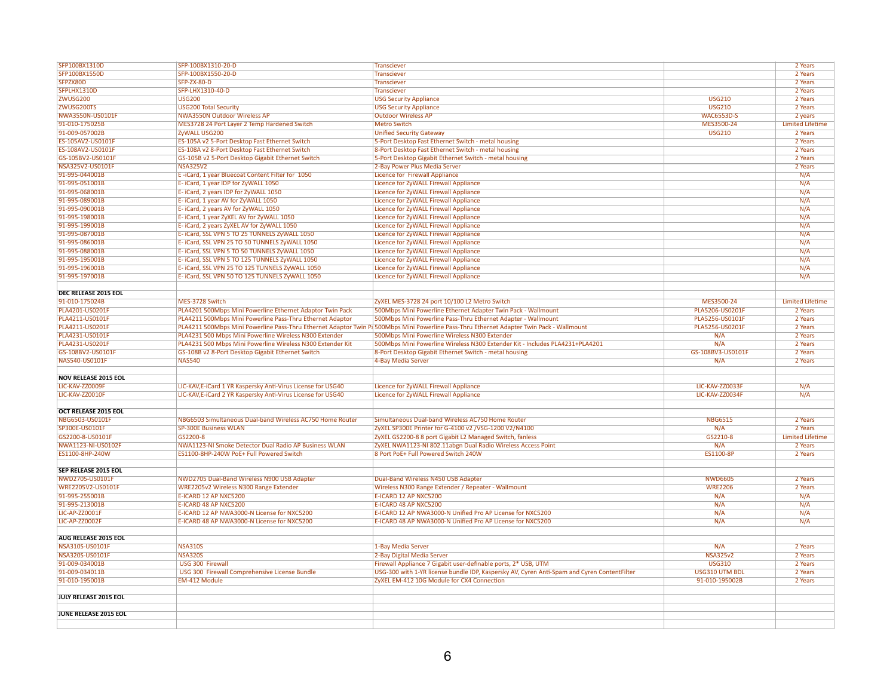| SFP100BX1310D               | SFP-100BX1310-20-D                                           | <b>Transciever</b>                                                                                                                        |                   | 2 Years                 |
|-----------------------------|--------------------------------------------------------------|-------------------------------------------------------------------------------------------------------------------------------------------|-------------------|-------------------------|
| SFP100BX1550D               | SFP-100BX1550-20-D                                           | <b>Transciever</b>                                                                                                                        |                   | 2 Years                 |
| SFPZX80D                    | SFP-ZX-80-D                                                  | Transciever                                                                                                                               |                   | 2 Years                 |
| SFPLHX1310D                 | SFP-LHX1310-40-D                                             | <b>Transciever</b>                                                                                                                        |                   | 2 Years                 |
| <b>ZWUSG200</b>             | <b>USG200</b>                                                | <b>USG Security Appliance</b>                                                                                                             | <b>USG210</b>     | 2 Years                 |
| ZWUSG200TS                  | <b>USG200 Total Security</b>                                 | <b>USG Security Appliance</b>                                                                                                             | <b>USG210</b>     | 2 Years                 |
| NWA3550N-US0101F            | <b>NWA3550N Outdoor Wireless AP</b>                          | <b>Outdoor Wireless AP</b>                                                                                                                | <b>WAC6553D-S</b> | 2 years                 |
| 91-010-175025B              | MES3728 24 Port Layer 2 Temp Hardened Switch                 | <b>Metro Switch</b>                                                                                                                       | MES3500-24        | <b>Limited Lifetime</b> |
| 91-009-057002B              | ZyWALL USG200                                                | <b>Unified Security Gateway</b>                                                                                                           | <b>USG210</b>     | 2 Years                 |
| ES-105AV2-US0101F           | ES-105A v2 5-Port Desktop Fast Ethernet Switch               | 5-Port Desktop Fast Ethernet Switch - metal housing                                                                                       |                   | 2 Years                 |
| ES-108AV2-US0101F           |                                                              |                                                                                                                                           |                   | 2 Years                 |
|                             | ES-108A v2 8-Port Desktop Fast Ethernet Switch               | 8-Port Desktop Fast Ethernet Switch - metal housing                                                                                       |                   |                         |
| GS-105BV2-US0101F           | GS-105B v2 5-Port Desktop Gigabit Ethernet Switch            | 5-Port Desktop Gigabit Ethernet Switch - metal housing                                                                                    |                   | 2 Years                 |
| NSA325V2-US0101F            | <b>NSA325V2</b>                                              | 2-Bay Power Plus Media Server                                                                                                             |                   | 2 Years                 |
| 91-995-044001B              | E-iCard, 1 year Bluecoat Content Filter for 1050             | Licence for Firewall Appliance                                                                                                            |                   | N/A                     |
| 91-995-051001B              | E-iCard, 1 year IDP for ZyWALL 1050                          | Licence for ZyWALL Firewall Appliance                                                                                                     |                   | N/A                     |
| 91-995-068001B              | E- iCard, 2 years IDP for ZyWALL 1050                        | Licence for ZyWALL Firewall Appliance                                                                                                     |                   | N/A                     |
| 91-995-089001B              | E- iCard, 1 year AV for ZyWALL 1050                          | Licence for ZyWALL Firewall Appliance                                                                                                     |                   | N/A                     |
| 91-995-090001B              | E- iCard, 2 years AV for ZyWALL 1050                         | Licence for ZyWALL Firewall Appliance                                                                                                     |                   | N/A                     |
| 91-995-198001B              | E-iCard, 1 year ZyXEL AV for ZyWALL 1050                     | Licence for ZyWALL Firewall Appliance                                                                                                     |                   | N/A                     |
| 91-995-199001B              | E- iCard, 2 years ZyXEL AV for ZyWALL 1050                   | Licence for ZyWALL Firewall Appliance                                                                                                     |                   | N/A                     |
| 91-995-087001B              | E- iCard, SSL VPN 5 TO 25 TUNNELS ZyWALL 1050                | Licence for ZyWALL Firewall Appliance                                                                                                     |                   | N/A                     |
| 91-995-086001B              | E- iCard, SSL VPN 25 TO 50 TUNNELS ZyWALL 1050               | Licence for ZyWALL Firewall Appliance                                                                                                     |                   | N/A                     |
| 91-995-088001B              | E- iCard, SSL VPN 5 TO 50 TUNNELS ZyWALL 1050                | Licence for ZyWALL Firewall Appliance                                                                                                     |                   | N/A                     |
| 91-995-195001B              | E- iCard, SSL VPN 5 TO 125 TUNNELS ZyWALL 1050               | Licence for ZyWALL Firewall Appliance                                                                                                     |                   | N/A                     |
| 91-995-196001B              | E- iCard, SSL VPN 25 TO 125 TUNNELS ZyWALL 1050              | Licence for ZyWALL Firewall Appliance                                                                                                     |                   | N/A                     |
| 91-995-197001B              | E- iCard, SSL VPN 50 TO 125 TUNNELS ZyWALL 1050              | Licence for ZyWALL Firewall Appliance                                                                                                     |                   | N/A                     |
|                             |                                                              |                                                                                                                                           |                   |                         |
| DEC RELEASE 2015 EOL        |                                                              |                                                                                                                                           |                   |                         |
| 91-010-175024B              | MES-3728 Switch                                              | ZyXEL MES-3728 24 port 10/100 L2 Metro Switch                                                                                             | MES3500-24        | <b>Limited Lifetime</b> |
| PLA4201-US0201F             | PLA4201 500Mbps Mini Powerline Ethernet Adaptor Twin Pack    | 500Mbps Mini Powerline Ethernet Adapter Twin Pack - Wallmount                                                                             | PLA5206-US0201F   | 2 Years                 |
| PLA4211-US0101F             | PLA4211 500Mbps Mini Powerline Pass-Thru Ethernet Adaptor    | 500Mbps Mini Powerline Pass-Thru Ethernet Adapter - Wallmount                                                                             | PLA5256-US0101F   | 2 Years                 |
| PLA4211-US0201F             |                                                              | PLA4211 500Mbps Mini Powerline Pass-Thru Ethernet Adaptor Twin P& 500Mbps Mini Powerline Pass-Thru Ethernet Adapter Twin Pack - Wallmount | PLA5256-US0201F   | 2 Years                 |
|                             |                                                              |                                                                                                                                           |                   |                         |
| PLA4231-US0101F             | PLA4231 500 Mbps Mini Powerline Wireless N300 Extender       | 500Mbps Mini Powerline Wireless N300 Extender                                                                                             | N/A               | 2 Years                 |
| PLA4231-US0201F             | PLA4231 500 Mbps Mini Powerline Wireless N300 Extender Kit   | 500Mbps Mini Powerline Wireless N300 Extender Kit - Includes PLA4231+PLA4201                                                              | N/A               | 2 Years                 |
| GS-108BV2-US0101F           | GS-108B v2 8-Port Desktop Gigabit Ethernet Switch            | 8-Port Desktop Gigabit Ethernet Switch - metal housing                                                                                    | GS-108BV3-US0101F | 2 Years                 |
| NAS540-US0101F              | <b>NAS540</b>                                                | 4-Bay Media Server                                                                                                                        | N/A               | 2 Years                 |
|                             |                                                              |                                                                                                                                           |                   |                         |
| <b>NOV RELEASE 2015 EOL</b> |                                                              |                                                                                                                                           |                   |                         |
| LIC-KAV-ZZ0009F             | LIC-KAV, E-iCard 1 YR Kaspersky Anti-Virus License for USG40 | Licence for ZyWALL Firewall Appliance                                                                                                     | LIC-KAV-ZZ0033F   | N/A                     |
| LIC-KAV-ZZ0010F             | LIC-KAV, E-iCard 2 YR Kaspersky Anti-Virus License for USG40 | Licence for ZyWALL Firewall Appliance                                                                                                     | LIC-KAV-ZZ0034F   | N/A                     |
|                             |                                                              |                                                                                                                                           |                   |                         |
| OCT RELEASE 2015 EOL        |                                                              |                                                                                                                                           |                   |                         |
| NBG6503-US0101F             | NBG6503 Simultaneous Dual-band Wireless AC750 Home Router    | Simultaneous Dual-band Wireless AC750 Home Router                                                                                         | <b>NBG6515</b>    | 2 Years                 |
| SP300E-US0101F              | <b>SP-300E Business WLAN</b>                                 | ZyXEL SP300E Printer for G-4100 v2 / VSG-1200 V2/N4100                                                                                    | N/A               | 2 Years                 |
| GS2200-8-US0101F            | GS2200-8                                                     | ZyXEL GS2200-8 8 port Gigabit L2 Managed Switch, fanless                                                                                  | GS2210-8          | <b>Limited Lifetime</b> |
| NWA1123-NI-US0102F          | NWA1123-NI Smoke Detector Dual Radio AP Business WLAN        | ZyXEL NWA1123-NI 802.11abgn Dual Radio Wireless Access Point                                                                              | N/A               | 2 Years                 |
| ES1100-8HP-240W             | ES1100-8HP-240W PoE+ Full Powered Switch                     | 8 Port PoE+ Full Powered Switch 240W                                                                                                      | <b>ES1100-8P</b>  | 2 Years                 |
|                             |                                                              |                                                                                                                                           |                   |                         |
| SEP RELEASE 2015 EOL        |                                                              |                                                                                                                                           |                   |                         |
| NWD2705-US0101F             | NWD2705 Dual-Band Wireless N900 USB Adapter                  | Dual-Band Wireless N450 USB Adapter                                                                                                       | <b>NWD6605</b>    | 2 Years                 |
| WRE2205V2-US0101F           | WRE2205v2 Wireless N300 Range Extender                       | Wireless N300 Range Extender / Repeater - Wallmount                                                                                       | <b>WRE2206</b>    | 2 Years                 |
| 91-995-255001B              | E-ICARD 12 AP NXC5200                                        | E-ICARD 12 AP NXC5200                                                                                                                     | N/A               | N/A                     |
| 91-995-213001B              | E-ICARD 48 AP NXC5200                                        | E-ICARD 48 AP NXC5200                                                                                                                     | N/A               | N/A                     |
| LIC-AP-ZZ0001F              | E-ICARD 12 AP NWA3000-N License for NXC5200                  | E-ICARD 12 AP NWA3000-N Unified Pro AP License for NXC5200                                                                                | N/A               | N/A                     |
| LIC-AP-ZZ0002F              | E-ICARD 48 AP NWA3000-N License for NXC5200                  | E-ICARD 48 AP NWA3000-N Unified Pro AP License for NXC5200                                                                                | N/A               | N/A                     |
|                             |                                                              |                                                                                                                                           |                   |                         |
|                             |                                                              |                                                                                                                                           |                   |                         |
| AUG RELEASE 2015 EOL        |                                                              |                                                                                                                                           |                   |                         |
| NSA310S-US0101F             | <b>NSA310S</b>                                               | 1-Bay Media Server                                                                                                                        | N/A               | 2 Years                 |
| NSA320S-US0101F             | <b>NSA320S</b>                                               | 2-Bay Digital Media Server                                                                                                                | <b>NSA325v2</b>   | 2 Years                 |
| 91-009-034001B              | USG 300 Firewall                                             | Firewall Appliance 7 Gigabit user-definable ports, 2* USB, UTM                                                                            | <b>USG310</b>     | 2 Years                 |
| 91-009-034011B              | USG 300 Firewall Comprehensive License Bundle                | USG-300 with 1-YR license bundle IDP, Kaspersky AV, Cyren Anti-Spam and Cyren ContentFilter                                               | USG310 UTM BDL    | 2 Years                 |
| 91-010-195001B              | EM-412 Module                                                | ZyXEL EM-412 10G Module for CX4 Connection                                                                                                | 91-010-195002B    | 2 Years                 |
|                             |                                                              |                                                                                                                                           |                   |                         |
| JULY RELEASE 2015 EOL       |                                                              |                                                                                                                                           |                   |                         |
|                             |                                                              |                                                                                                                                           |                   |                         |
| JUNE RELEASE 2015 EOL       |                                                              |                                                                                                                                           |                   |                         |
|                             |                                                              |                                                                                                                                           |                   |                         |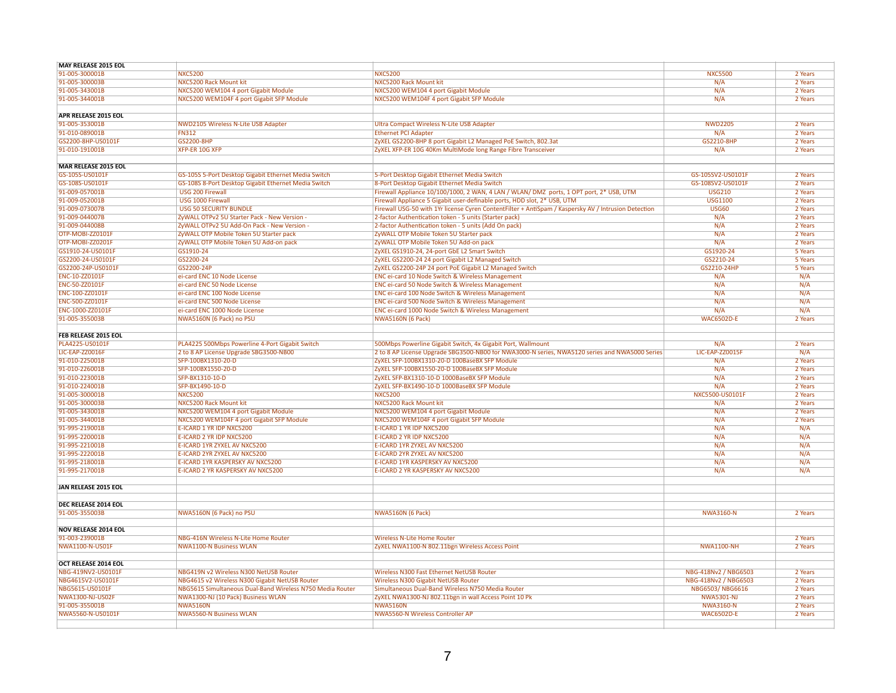| <b>MAY RELEASE 2015 EOL</b>                    |                                                           |                                                                                                      |                      |         |
|------------------------------------------------|-----------------------------------------------------------|------------------------------------------------------------------------------------------------------|----------------------|---------|
| 91-005-300001B                                 | <b>NXC5200</b>                                            | <b>NXC5200</b>                                                                                       | <b>NXC5500</b>       | 2 Years |
| 91-005-300003B                                 | NXC5200 Rack Mount kit                                    | <b>NXC5200 Rack Mount kit</b>                                                                        | N/A                  | 2 Years |
| 91-005-343001B                                 | NXC5200 WEM104 4 port Gigabit Module                      | NXC5200 WEM104 4 port Gigabit Module                                                                 | N/A                  | 2 Years |
| 91-005-344001B                                 | NXC5200 WEM104F 4 port Gigabit SFP Module                 | NXC5200 WEM104F 4 port Gigabit SFP Module                                                            | N/A                  | 2 Years |
|                                                |                                                           |                                                                                                      |                      |         |
| APR RELEASE 2015 EOL                           |                                                           |                                                                                                      |                      |         |
| 91-005-353001B                                 | NWD2105 Wireless N-Lite USB Adapter                       | Ultra Compact Wireless N-Lite USB Adapter                                                            | <b>NWD2205</b>       | 2 Years |
| 91-010-089001B                                 | <b>FN312</b>                                              | <b>Ethernet PCI Adapter</b>                                                                          | N/A                  | 2 Years |
| GS2200-8HP-US0101F                             | GS2200-8HP                                                | ZyXEL GS2200-8HP 8 port Gigabit L2 Managed PoE Switch, 802.3at                                       | GS2210-8HP           | 2 Years |
| 91-010-191001B                                 | XFP-ER 10G XFP                                            | ZyXEL XFP-ER 10G 40Km MultiMode long Range Fibre Transceiver                                         | N/A                  | 2 Years |
|                                                |                                                           |                                                                                                      |                      |         |
| MAR RELEASE 2015 EOL                           |                                                           |                                                                                                      |                      |         |
| GS-105S-US0101F                                | GS-105S 5-Port Desktop Gigabit Ethernet Media Switch      | 5-Port Desktop Gigabit Ethernet Media Switch                                                         | GS-105SV2-US0101F    | 2 Years |
| GS-108S-US0101F                                | GS-108S 8-Port Desktop Gigabit Ethernet Media Switch      | 8-Port Desktop Gigabit Ethernet Media Switch                                                         | GS-108SV2-US0101F    | 2 Years |
| 91-009-057001B                                 | USG 200 Firewall                                          | Firewall Appliance 10/100/1000, 2 WAN, 4 LAN / WLAN/ DMZ ports, 1 OPT port, 2* USB, UTM              | <b>USG210</b>        | 2 Years |
| 91-009-052001B                                 | USG 1000 Firewall                                         | Firewall Appliance 5 Gigabit user-definable ports, HDD slot, 2* USB, UTM                             | <b>USG1100</b>       | 2 Years |
| 91-009-073007B                                 | <b>USG 50 SECURITY BUNDLE</b>                             | Firewall USG-50 with 1Yr license Cyren ContentFilter + AntiSpam / Kaspersky AV / Intrusion Detection | <b>USG60</b>         | 2 Years |
| 91-009-044007B                                 | ZyWALL OTPv2 5U Starter Pack - New Version -              | 2-factor Authentication token - 5 units (Starter pack)                                               | N/A                  | 2 Years |
| 91-009-044008B                                 | ZyWALL OTPv2 5U Add-On Pack - New Version -               | 2-factor Authentication token - 5 units (Add On pack)                                                | N/A                  | 2 Years |
| OTP-MOBI-ZZ0101F                               | ZyWALL OTP Mobile Token 5U Starter pack                   | ZyWALL OTP Mobile Token 5U Starter pack                                                              | N/A                  | 2 Years |
| OTP-MOBI-ZZ0201F                               | ZyWALL OTP Mobile Token 5U Add-on pack                    | ZyWALL OTP Mobile Token 5U Add-on pack                                                               | N/A                  | 2 Years |
| GS1910-24-US0101F                              | GS1910-24                                                 | ZyXEL GS1910-24, 24-port GbE L2 Smart Switch                                                         | GS1920-24            | 5 Years |
| GS2200-24-US0101F                              | GS2200-24                                                 | ZyXEL GS2200-24 24 port Gigabit L2 Managed Switch                                                    | GS2210-24            | 5 Years |
|                                                |                                                           |                                                                                                      |                      |         |
| GS2200-24P-US0101F                             | GS2200-24P                                                | ZyXEL GS2200-24P 24 port PoE Gigabit L2 Managed Switch                                               | GS2210-24HP          | 5 Years |
| ENC-10-ZZ0101F                                 | ei-card ENC 10 Node License                               | ENC ei-card 10 Node Switch & Wireless Management                                                     | N/A                  | N/A     |
| ENC-50-ZZ0101F                                 | ei-card ENC 50 Node License                               | ENC ei-card 50 Node Switch & Wireless Management                                                     | N/A                  | N/A     |
| ENC-100-ZZ0101F                                | ei-card ENC 100 Node License                              | ENC ei-card 100 Node Switch & Wireless Management                                                    | N/A                  | N/A     |
| <b>ENC-500-ZZ0101F</b>                         | ei-card ENC 500 Node License                              | <b>ENC ei-card 500 Node Switch &amp; Wireless Management</b>                                         | N/A                  | N/A     |
| ENC-1000-ZZ0101F                               | ei-card ENC 1000 Node License                             | ENC ei-card 1000 Node Switch & Wireless Management                                                   | N/A                  | N/A     |
| 91-005-355003B                                 | NWA5160N (6 Pack) no PSU                                  | <b>NWA5160N (6 Pack)</b>                                                                             | <b>WAC6502D-E</b>    | 2 Years |
|                                                |                                                           |                                                                                                      |                      |         |
| <b>FEB RELEASE 2015 EOL</b><br>PLA4225-US0101F |                                                           |                                                                                                      | N/A                  |         |
|                                                | PLA4225 500Mbps Powerline 4-Port Gigabit Switch           | 500Mbps Powerline Gigabit Switch, 4x Gigabit Port, Wallmount                                         |                      | 2 Years |
| LIC-EAP-ZZ0016F                                | 2 to 8 AP License Upgrade SBG3500-NB00                    | 2 to 8 AP License Upgrade SBG3500-NB00 for NWA3000-N series, NWA5120 series and NWA5000 Series       | LIC-EAP-ZZ0015F      | N/A     |
| 91-010-225001B                                 | SFP-100BX1310-20-D                                        | ZyXEL SFP-100BX1310-20-D 100BaseBX SFP Module                                                        | N/A                  | 2 Years |
| 91-010-226001B                                 | SFP-100BX1550-20-D                                        | ZyXEL SFP-100BX1550-20-D 100BaseBX SFP Module                                                        | N/A                  | 2 Years |
| 91-010-223001B                                 | SFP-BX1310-10-D                                           | ZyXEL SFP-BX1310-10-D 1000BaseBX SFP Module                                                          | N/A                  | 2 Years |
| 91-010-224001B                                 | SFP-BX1490-10-D                                           | ZyXEL SFP-BX1490-10-D 1000BaseBX SFP Module                                                          | N/A                  | 2 Years |
| 91-005-300001B                                 | <b>NXC5200</b>                                            | <b>NXC5200</b>                                                                                       | NXC5500-US0101F      | 2 Years |
| 91-005-300003B                                 | NXC5200 Rack Mount kit                                    | NXC5200 Rack Mount kit                                                                               | N/A                  | 2 Years |
| 91-005-343001B                                 | NXC5200 WEM104 4 port Gigabit Module                      | NXC5200 WEM104 4 port Gigabit Module                                                                 | N/A                  | 2 Years |
| 91-005-344001B                                 | NXC5200 WEM104F 4 port Gigabit SFP Module                 | NXC5200 WEM104F 4 port Gigabit SFP Module                                                            | N/A                  | 2 Years |
| 91-995-219001B                                 | E-ICARD 1 YR IDP NXC5200                                  | E-ICARD 1 YR IDP NXC5200                                                                             | N/A                  | N/A     |
| 91-995-220001B                                 | E-ICARD 2 YR IDP NXC5200                                  | E-ICARD 2 YR IDP NXC5200                                                                             | N/A                  | N/A     |
| 91-995-221001B                                 | E-ICARD 1YR ZYXEL AV NXC5200                              | E-ICARD 1YR ZYXEL AV NXC5200                                                                         | N/A                  | N/A     |
| 91-995-222001B                                 | E-ICARD 2YR ZYXEL AV NXC5200                              | E-ICARD 2YR ZYXEL AV NXC5200                                                                         | N/A                  | N/A     |
| 91-995-218001B                                 | E-ICARD 1YR KASPERSKY AV NXC5200                          | E-ICARD 1YR KASPERSKY AV NXC5200                                                                     | N/A                  | N/A     |
| 91-995-217001B                                 | E-ICARD 2 YR KASPERSKY AV NXC5200                         | E-ICARD 2 YR KASPERSKY AV NXC5200                                                                    | N/A                  | N/A     |
|                                                |                                                           |                                                                                                      |                      |         |
| JAN RELEASE 2015 EOL                           |                                                           |                                                                                                      |                      |         |
| DEC RELEASE 2014 EOL                           |                                                           |                                                                                                      |                      |         |
| 91-005-355003B                                 |                                                           |                                                                                                      | <b>NWA3160-N</b>     | 2 Years |
|                                                | NWA5160N (6 Pack) no PSU                                  | <b>NWA5160N (6 Pack)</b>                                                                             |                      |         |
| <b>NOV RELEASE 2014 EOL</b>                    |                                                           |                                                                                                      |                      |         |
| 91-003-239001B                                 | NBG-416N Wireless N-Lite Home Router                      | <b>Wireless N-Lite Home Router</b>                                                                   |                      | 2 Years |
| NWA1100-N-US01F                                | <b>NWA1100-N Business WLAN</b>                            | ZyXEL NWA1100-N 802.11bgn Wireless Access Point                                                      | <b>NWA1100-NH</b>    | 2 Years |
|                                                |                                                           |                                                                                                      |                      |         |
| <b>OCT RELEASE 2014 EOL</b>                    |                                                           |                                                                                                      |                      |         |
| NBG-419NV2-US0101F                             | NBG419N v2 Wireless N300 NetUSB Router                    | Wireless N300 Fast Ethernet NetUSB Router                                                            | NBG-418Nv2 / NBG6503 | 2 Years |
| NBG4615V2-US0101F                              | NBG4615 v2 Wireless N300 Gigabit NetUSB Router            | <b>Wireless N300 Gigabit NetUSB Router</b>                                                           | NBG-418Nv2 / NBG6503 | 2 Years |
| NBG5615-US0101F                                | NBG5615 Simultaneous Dual-Band Wireless N750 Media Router | Simultaneous Dual-Band Wireless N750 Media Router                                                    | NBG6503/NBG6616      | 2 Years |
| NWA1300-NJ-US02F                               | NWA1300-NJ (10 Pack) Business WLAN                        | ZyXEL NWA1300-NJ 802.11bgn in wall Access Point 10 Pk                                                | <b>NWA5301-NJ</b>    | 2 Years |
| 91-005-355001B                                 | <b>NWA5160N</b>                                           | <b>NWA5160N</b>                                                                                      | <b>NWA3160-N</b>     | 2 Years |
| NWA5560-N-US0101F                              | <b>NWA5560-N Business WLAN</b>                            | NWA5560-N Wireless Controller AP                                                                     | <b>WAC6502D-E</b>    | 2 Years |
|                                                |                                                           |                                                                                                      |                      |         |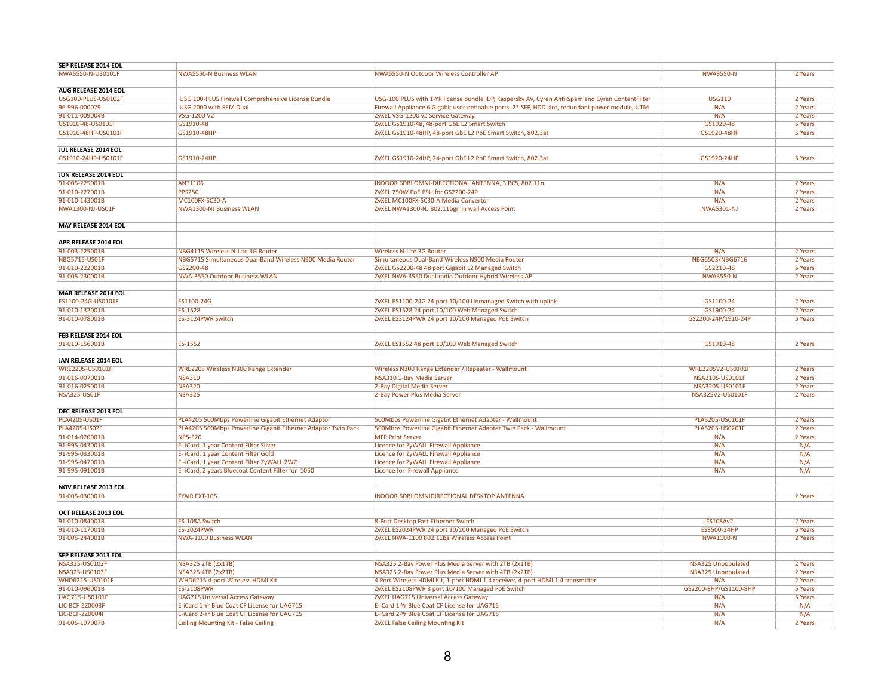| SEP RELEASE 2014 EOL        |                                                              |                                                                                                  |                           |         |
|-----------------------------|--------------------------------------------------------------|--------------------------------------------------------------------------------------------------|---------------------------|---------|
| NWA5550-N-US0101F           | <b>NWA5550-N Business WLAN</b>                               | NWA5550-N Outdoor Wireless Controller AP                                                         | <b>NWA3550-N</b>          | 2 Years |
|                             |                                                              |                                                                                                  |                           |         |
|                             |                                                              |                                                                                                  |                           |         |
| AUG RELEASE 2014 EOL        |                                                              |                                                                                                  |                           |         |
| USG100-PLUS-US0102F         | USG 100-PLUS Firewall Comprehensive License Bundle           | USG-100 PLUS with 1-YR license bundle IDP, Kaspersky AV, Cyren Anti-Spam and Cyren ContentFilter | <b>USG110</b>             | 2 Years |
| 96-996-000079               | USG 2000 with SEM Dual                                       | Firewall Appliance 6 Gigabit user-definable ports, 2* SFP, HDD slot, redundant power module, UTM | N/A                       | 2 Years |
| 91-011-009004B              | VSG-1200 V2                                                  | ZyXEL VSG-1200 v2 Service Gateway                                                                | N/A                       | 2 Years |
| GS1910-48-US0101F           | GS1910-48                                                    | ZyXEL GS1910-48, 48-port GbE L2 Smart Switch                                                     | GS1920-48                 | 5 Years |
| GS1910-48HP-US0101F         | GS1910-48HP                                                  | ZyXEL GS1910-48HP, 48-port GbE L2 PoE Smart Switch, 802.3at                                      | GS1920-48HP               | 5 Years |
|                             |                                                              |                                                                                                  |                           |         |
|                             |                                                              |                                                                                                  |                           |         |
| JUL RELEASE 2014 EOL        |                                                              |                                                                                                  |                           |         |
| GS1910-24HP-US0101F         | GS1910-24HP                                                  | ZyXEL GS1910-24HP, 24-port GbE L2 PoE Smart Switch, 802.3at                                      | GS1920-24HP               | 5 Years |
|                             |                                                              |                                                                                                  |                           |         |
| JUN RELEASE 2014 EOL        |                                                              |                                                                                                  |                           |         |
| 91-005-225001B              | <b>ANT1106</b>                                               | INDOOR 6DBI OMNI-DIRECTIONAL ANTENNA, 3 PCS, 802.11n                                             | N/A                       | 2 Years |
| 91-010-227001B              |                                                              | ZyXEL 250W PoE PSU for GS2200-24P                                                                | N/A                       | 2 Years |
|                             | <b>PPS250</b>                                                |                                                                                                  |                           |         |
| 91-010-143001B              | MC100FX-SC30-A                                               | ZyXEL MC100FX-SC30-A Media Convertor                                                             | N/A                       | 2 Years |
| NWA1300-NJ-US01F            | <b>NWA1300-NJ Business WLAN</b>                              | ZyXEL NWA1300-NJ 802.11bgn in wall Access Point                                                  | <b>NWA5301-NJ</b>         | 2 Years |
|                             |                                                              |                                                                                                  |                           |         |
| <b>MAY RELEASE 2014 EOL</b> |                                                              |                                                                                                  |                           |         |
|                             |                                                              |                                                                                                  |                           |         |
| APR RELEASE 2014 EOL        |                                                              |                                                                                                  |                           |         |
|                             |                                                              |                                                                                                  |                           |         |
| 91-003-225001B              | NBG4115 Wireless N-Lite 3G Router                            | <b>Wireless N-Lite 3G Router</b>                                                                 | N/A                       | 2 Years |
| NBG5715-US01F               | NBG5715 Simultaneous Dual-Band Wireless N900 Media Router    | Simultaneous Dual-Band Wireless N900 Media Router                                                | NBG6503/NBG6716           | 2 Years |
| 91-010-222001B              | GS2200-48                                                    | ZyXEL GS2200-48 48 port Gigabit L2 Managed Switch                                                | GS2210-48                 | 5 Years |
| 91-005-230001B              | NWA-3550 Outdoor Business WLAN                               | ZyXEL NWA-3550 Dual-radio Outdoor Hybrid Wireless AP                                             | <b>NWA3550-N</b>          | 2 Years |
|                             |                                                              |                                                                                                  |                           |         |
| MAR RELEASE 2014 EOL        |                                                              |                                                                                                  |                           |         |
|                             |                                                              |                                                                                                  |                           |         |
| ES1100-24G-US0101F          | ES1100-24G                                                   | ZyXEL ES1100-24G 24 port 10/100 Unmanaged Switch with uplink                                     | GS1100-24                 | 2 Years |
| 91-010-132001B              | ES-1528                                                      | ZyXEL ES1528 24 port 10/100 Web Managed Switch                                                   | GS1900-24                 | 2 Years |
| 91-010-078001B              | ES-3124PWR Switch                                            | ZyXEL ES3124PWR 24 port 10/100 Managed PoE Switch                                                | GS2200-24P/1910-24P       | 5 Years |
|                             |                                                              |                                                                                                  |                           |         |
| FEB RELEASE 2014 EOL        |                                                              |                                                                                                  |                           |         |
| 91-010-156001B              | ES-1552                                                      | ZyXEL ES1552 48 port 10/100 Web Managed Switch                                                   | GS1910-48                 | 2 Years |
|                             |                                                              |                                                                                                  |                           |         |
|                             |                                                              |                                                                                                  |                           |         |
| JAN RELEASE 2014 EOL        |                                                              |                                                                                                  |                           |         |
| WRE2205-US0101F             | <b>WRE2205 Wireless N300 Range Extender</b>                  | Wireless N300 Range Extender / Repeater - Wallmount                                              | WRE2205V2-US0101F         | 2 Years |
| 91-016-007001B              | <b>NSA310</b>                                                | NSA310 1-Bay Media Server                                                                        | NSA310S-US0101F           | 2 Years |
| 91-016-025001B              | <b>NSA320</b>                                                | 2-Bay Digital Media Server                                                                       | NSA320S-US0101F           | 2 Years |
| <b>NSA325-US01F</b>         | <b>NSA325</b>                                                | 2-Bay Power Plus Media Server                                                                    | NSA325V2-US0101F          | 2 Years |
|                             |                                                              |                                                                                                  |                           |         |
|                             |                                                              |                                                                                                  |                           |         |
| DEC RELEASE 2013 EOL        |                                                              |                                                                                                  |                           |         |
| PLA4205-US01F               | PLA4205 500Mbps Powerline Gigabit Ethernet Adaptor           | 500Mbps Powerline Gigabit Ethernet Adapter - Wallmount                                           | PLA5205-US0101F           | 2 Years |
| <b>PLA4205-US02F</b>        | PLA4205 500Mbps Powerline Gigabit Ethernet Adaptor Twin Pack | 500Mbps Powerline Gigabit Ethernet Adapter Twin Pack - Wallmount                                 | PLA5205-US0201F           | 2 Years |
| 91-014-020001B              | <b>NPS-520</b>                                               | <b>MFP Print Server</b>                                                                          | N/A                       | 2 Years |
| 91-995-043001B              | E- iCard, 1 year Content Filter Silver                       | Licence for ZyWALL Firewall Appliance                                                            | N/A                       | N/A     |
| 91-995-033001B              | E- iCard, 1 year Content Filter Gold                         | Licence for ZyWALL Firewall Appliance                                                            | N/A                       | N/A     |
|                             |                                                              |                                                                                                  |                           |         |
| 91-995-047001B              | E-iCard, 1 year Content Filter ZyWALL 2WG                    | Licence for ZyWALL Firewall Appliance                                                            | N/A                       | N/A     |
| 91-995-091001B              | E- iCard, 2 years Bluecoat Content Filter for 1050           | Licence for Firewall Appliance                                                                   | N/A                       | N/A     |
|                             |                                                              |                                                                                                  |                           |         |
| <b>NOV RELEASE 2013 EOL</b> |                                                              |                                                                                                  |                           |         |
| 91-005-030001B              | ZYAIR EXT-105                                                | <b>INDOOR 5DBI OMNIDIRECTIONAL DESKTOP ANTENNA</b>                                               |                           | 2 Years |
|                             |                                                              |                                                                                                  |                           |         |
| OCT RELEASE 2013 EOL        |                                                              |                                                                                                  |                           |         |
|                             |                                                              |                                                                                                  |                           |         |
| 91-010-084001B              | ES-108A Switch                                               | 8-Port Desktop Fast Ethernet Switch                                                              | <b>ES108Av2</b>           | 2 Years |
| 91-010-117001B              | <b>ES-2024PWR</b>                                            | ZyXEL ES2024PWR 24 port 10/100 Managed PoE Switch                                                | ES3500-24HP               | 5 Years |
| 91-005-244001B              | <b>NWA-1100 Business WLAN</b>                                | ZyXEL NWA-1100 802.11bg Wireless Access Point                                                    | <b>NWA1100-N</b>          | 2 Years |
|                             |                                                              |                                                                                                  |                           |         |
| SEP RELEASE 2013 EOL        |                                                              |                                                                                                  |                           |         |
| NSA325-US0102F              | <b>NSA325 2TB (2x1TB)</b>                                    | NSA325 2-Bay Power Plus Media Server with 2TB (2x1TB)                                            |                           | 2 Years |
|                             |                                                              |                                                                                                  | <b>NSA325 Unpopulated</b> |         |
| <b>NSA325-US0103F</b>       | <b>NSA325 4TB (2x2TB)</b>                                    | NSA325 2-Bay Power Plus Media Server with 4TB (2x2TB)                                            | <b>NSA325 Unpopulated</b> | 2 Years |
| WHD6215-US0101F             | WHD6215 4-port Wireless HDMI Kit                             | 4 Port Wireless HDMI Kit, 1-port HDMI 1.4 receiver, 4-port HDMI 1.4 transmitter                  | N/A                       | 2 Years |
| 91-010-096001B              | <b>ES-2108PWR</b>                                            | ZyXEL ES2108PWR 8 port 10/100 Managed PoE Switch                                                 | GS2200-8HP/GS1100-8HP     | 5 Years |
| UAG715-US0101F              | <b>UAG715 Universal Access Gateway</b>                       | ZyXEL UAG715 Universal Access Gateway                                                            | N/A                       | 5 Years |
| LIC-BCF-ZZ0003F             | E-iCard 1-Yr Blue Coat CF License for UAG715                 | E-iCard 1-Yr Blue Coat CF License for UAG715                                                     | N/A                       | N/A     |
|                             |                                                              |                                                                                                  |                           |         |
| LIC-BCF-ZZ0004F             | E-iCard 2-Yr Blue Coat CF License for UAG715                 | E-iCard 2-Yr Blue Coat CF License for UAG715                                                     | N/A                       | N/A     |
| 91-005-197007B              | <b>Ceiling Mounting Kit - False Ceiling</b>                  | <b>ZyXEL False Ceiling Mounting Kit</b>                                                          | N/A                       | 2 Years |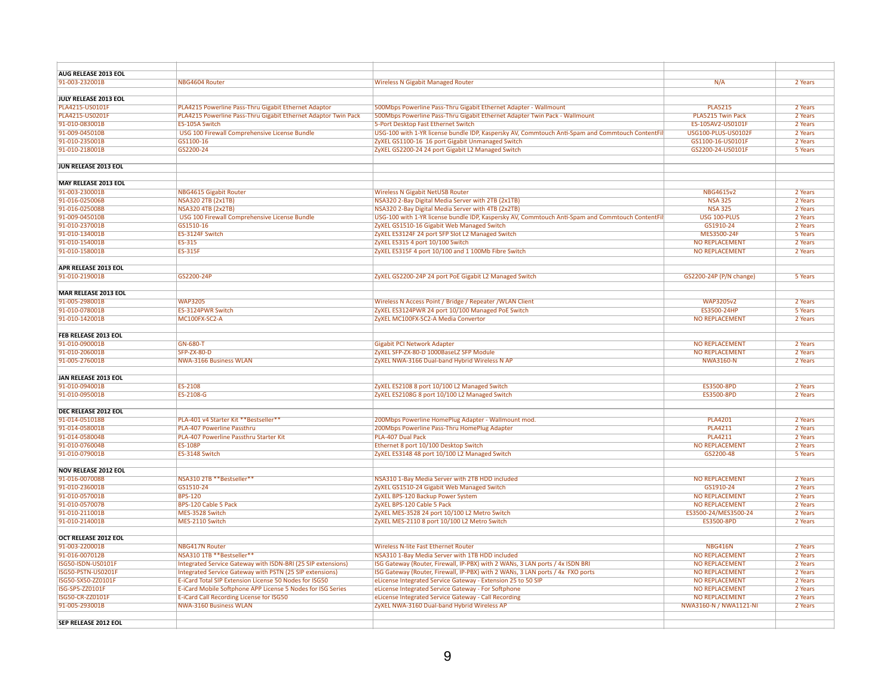| AUG RELEASE 2013 EOL             |                                                                 |                                                                                                                                                      |                                                 |                    |
|----------------------------------|-----------------------------------------------------------------|------------------------------------------------------------------------------------------------------------------------------------------------------|-------------------------------------------------|--------------------|
| 91-003-232001B                   | NBG4604 Router                                                  | <b>Wireless N Gigabit Managed Router</b>                                                                                                             | N/A                                             | 2 Years            |
|                                  |                                                                 |                                                                                                                                                      |                                                 |                    |
| JULY RELEASE 2013 EOL            |                                                                 |                                                                                                                                                      |                                                 |                    |
| PLA4215-US0101F                  | PLA4215 Powerline Pass-Thru Gigabit Ethernet Adaptor            | 500Mbps Powerline Pass-Thru Gigabit Ethernet Adapter - Wallmount                                                                                     | <b>PLA5215</b>                                  | 2 Years            |
| PLA4215-US0201F                  | PLA4215 Powerline Pass-Thru Gigabit Ethernet Adaptor Twin Pack  | 500Mbps Powerline Pass-Thru Gigabit Ethernet Adapter Twin Pack - Wallmount                                                                           | PLA5215 Twin Pack                               | 2 Years            |
| 91-010-083001B<br>91-009-045010B | ES-105A Switch<br>USG 100 Firewall Comprehensive License Bundle | 5-Port Desktop Fast Ethernet Switch                                                                                                                  | ES-105AV2-US0101F<br><b>USG100-PLUS-US0102F</b> | 2 Years<br>2 Years |
| 91-010-235001B                   | GS1100-16                                                       | USG-100 with 1-YR license bundle IDP, Kaspersky AV, Commtouch Anti-Spam and Commtouch ContentFil<br>ZyXEL GS1100-16 16 port Gigabit Unmanaged Switch | GS1100-16-US0101F                               | 2 Years            |
| 91-010-218001B                   | GS2200-24                                                       | ZyXEL GS2200-24 24 port Gigabit L2 Managed Switch                                                                                                    | GS2200-24-US0101F                               | 5 Years            |
|                                  |                                                                 |                                                                                                                                                      |                                                 |                    |
| JUN RELEASE 2013 EOL             |                                                                 |                                                                                                                                                      |                                                 |                    |
|                                  |                                                                 |                                                                                                                                                      |                                                 |                    |
| <b>MAY RELEASE 2013 EOL</b>      |                                                                 |                                                                                                                                                      |                                                 |                    |
| 91-003-230001B                   | <b>NBG4615 Gigabit Router</b>                                   | <b>Wireless N Gigabit NetUSB Router</b>                                                                                                              | NBG4615v2                                       | 2 Years            |
| 91-016-025006B                   | <b>NSA320 2TB (2x1TB)</b>                                       | NSA320 2-Bay Digital Media Server with 2TB (2x1TB)                                                                                                   | <b>NSA 325</b>                                  | 2 Years            |
| 91-016-025008B                   | <b>NSA320 4TB (2x2TB)</b>                                       | NSA320 2-Bay Digital Media Server with 4TB (2x2TB)                                                                                                   | <b>NSA 325</b>                                  | 2 Years            |
| 91-009-045010B                   | USG 100 Firewall Comprehensive License Bundle                   | USG-100 with 1-YR license bundle IDP, Kaspersky AV, Commtouch Anti-Spam and Commtouch ContentFil                                                     | USG 100-PLUS                                    | 2 Years            |
| 91-010-237001B                   | GS1510-16                                                       | ZyXEL GS1510-16 Gigabit Web Managed Switch                                                                                                           | GS1910-24                                       | 2 Years            |
| 91-010-134001B                   | ES-3124F Switch                                                 | ZyXEL ES3124F 24 port SFP Slot L2 Managed Switch                                                                                                     | MES3500-24F                                     | 5 Years            |
| 91-010-154001B                   | ES-315                                                          | ZyXEL ES315 4 port 10/100 Switch                                                                                                                     | <b>NO REPLACEMENT</b>                           | 2 Years            |
| 91-010-158001B                   | <b>ES-315F</b>                                                  | ZyXEL ES315F 4 port 10/100 and 1 100Mb Fibre Switch                                                                                                  | <b>NO REPLACEMENT</b>                           | 2 Years            |
|                                  |                                                                 |                                                                                                                                                      |                                                 |                    |
| <b>APR RELEASE 2013 EOL</b>      |                                                                 |                                                                                                                                                      |                                                 |                    |
| 91-010-219001B                   | GS2200-24P                                                      | ZyXEL GS2200-24P 24 port PoE Gigabit L2 Managed Switch                                                                                               | GS2200-24P (P/N change)                         | 5 Years            |
|                                  |                                                                 |                                                                                                                                                      |                                                 |                    |
| MAR RELEASE 2013 EOL             |                                                                 |                                                                                                                                                      |                                                 |                    |
| 91-005-298001B<br>91-010-078001B | <b>WAP3205</b><br>ES-3124PWR Switch                             | Wireless N Access Point / Bridge / Repeater / WLAN Client<br>ZyXEL ES3124PWR 24 port 10/100 Managed PoE Switch                                       | <b>WAP3205v2</b><br>ES3500-24HP                 | 2 Years<br>5 Years |
| 91-010-142001B                   | MC100FX-SC2-A                                                   | ZyXEL MC100FX-SC2-A Media Convertor                                                                                                                  | <b>NO REPLACEMENT</b>                           | 2 Years            |
|                                  |                                                                 |                                                                                                                                                      |                                                 |                    |
| FEB RELEASE 2013 EOL             |                                                                 |                                                                                                                                                      |                                                 |                    |
| 91-010-090001B                   | <b>GN-680-T</b>                                                 | <b>Gigabit PCI Network Adapter</b>                                                                                                                   | <b>NO REPLACEMENT</b>                           | 2 Years            |
| 91-010-206001B                   | <b>SFP-ZX-80-D</b>                                              | ZyXEL SFP-ZX-80-D 1000BaseLZ SFP Module                                                                                                              | NO REPLACEMENT                                  | 2 Years            |
| 91-005-276001B                   | <b>NWA-3166 Business WLAN</b>                                   | ZyXEL NWA-3166 Dual-band Hybrid Wireless N AP                                                                                                        | <b>NWA3160-N</b>                                | 2 Years            |
|                                  |                                                                 |                                                                                                                                                      |                                                 |                    |
| JAN RELEASE 2013 EOL             |                                                                 |                                                                                                                                                      |                                                 |                    |
| 91-010-094001B                   | ES-2108                                                         | ZyXEL ES2108 8 port 10/100 L2 Managed Switch                                                                                                         | ES3500-8PD                                      | 2 Years            |
| 91-010-095001B                   | ES-2108-G                                                       | ZyXEL ES2108G 8 port 10/100 L2 Managed Switch                                                                                                        | ES3500-8PD                                      | 2 Years            |
|                                  |                                                                 |                                                                                                                                                      |                                                 |                    |
| DEC RELEASE 2012 EOL             |                                                                 |                                                                                                                                                      |                                                 |                    |
| 91-014-051018B                   | PLA-401 v4 Starter Kit **Bestseller**                           | 200Mbps Powerline HomePlug Adapter - Wallmount mod.                                                                                                  | <b>PLA4201</b>                                  | 2 Years            |
| 91-014-058001B                   | PLA-407 Powerline Passthru                                      | 200Mbps Powerline Pass-Thru HomePlug Adapter                                                                                                         | <b>PLA4211</b>                                  | 2 Years            |
| 91-014-058004B                   | PLA-407 Powerline Passthru Starter Kit                          | PLA-407 Dual Pack                                                                                                                                    | <b>PLA4211</b>                                  | 2 Years            |
| 91-010-076004B                   | <b>ES-108P</b>                                                  | Ethernet 8 port 10/100 Desktop Switch                                                                                                                | <b>NO REPLACEMENT</b>                           | 2 Years            |
| 91-010-079001B                   | ES-3148 Switch                                                  | ZyXEL ES3148 48 port 10/100 L2 Managed Switch                                                                                                        | GS2200-48                                       | 5 Years            |
|                                  |                                                                 |                                                                                                                                                      |                                                 |                    |
| <b>NOV RELEASE 2012 EOL</b>      |                                                                 |                                                                                                                                                      |                                                 |                    |
| 91-016-007008B<br>91-010-236001B | NSA310 2TB **Bestseller**                                       | NSA310 1-Bay Media Server with 2TB HDD included                                                                                                      | <b>NO REPLACEMENT</b>                           | 2 Years            |
| 91-010-057001B                   | GS1510-24<br><b>BPS-120</b>                                     | ZyXEL GS1510-24 Gigabit Web Managed Switch                                                                                                           | GS1910-24<br><b>NO REPLACEMENT</b>              | 2 Years<br>2 Years |
| 91-010-057007B                   | BPS-120 Cable 5 Pack                                            | ZyXEL BPS-120 Backup Power System<br>ZyXEL BPS-120 Cable 5 Pack                                                                                      | <b>NO REPLACEMENT</b>                           | 2 Years            |
| 91-010-211001B                   | MES-3528 Switch                                                 | ZyXEL MES-3528 24 port 10/100 L2 Metro Switch                                                                                                        | ES3500-24/MES3500-24                            | 2 Years            |
| 91-010-214001B                   | MES-2110 Switch                                                 | ZyXEL MES-2110 8 port 10/100 L2 Metro Switch                                                                                                         | ES3500-8PD                                      | 2 Years            |
|                                  |                                                                 |                                                                                                                                                      |                                                 |                    |
| OCT RELEASE 2012 EOL             |                                                                 |                                                                                                                                                      |                                                 |                    |
| 91-003-220001B                   | <b>NBG417N Router</b>                                           | <b>Wireless N-lite Fast Ethernet Router</b>                                                                                                          | <b>NBG416N</b>                                  | 2 Years            |
| 91-016-007012B                   | NSA310 1TB **Bestseller**                                       | NSA310 1-Bay Media Server with 1TB HDD included                                                                                                      | <b>NO REPLACEMENT</b>                           | 2 Years            |
| ISG50-ISDN-US0101F               | Integrated Service Gateway with ISDN-BRI (25 SIP extensions)    | ISG Gateway (Router, Firewall, IP-PBX) with 2 WANs, 3 LAN ports / 4x ISDN BRI                                                                        | <b>NO REPLACEMENT</b>                           | 2 Years            |
| ISG50-PSTN-US0201F               | Integrated Service Gateway with PSTN (25 SIP extensions)        | ISG Gateway (Router, Firewall, IP-PBX) with 2 WANs, 3 LAN ports / 4x FXO ports                                                                       | <b>NO REPLACEMENT</b>                           | 2 Years            |
| ISG50-SX50-ZZ0101F               | E-iCard Total SIP Extension License 50 Nodes for ISG50          | eLicense Integrated Service Gateway - Extension 25 to 50 SIP                                                                                         | <b>NO REPLACEMENT</b>                           | 2 Years            |
| ISG-SP5-ZZ0101F                  | E-iCard Mobile Softphone APP License 5 Nodes for ISG Series     | eLicense Integrated Service Gateway - For Softphone                                                                                                  | <b>NO REPLACEMENT</b>                           | 2 Years            |
| ISG50-CR-ZZ0101F                 | E-iCard Call Recording License for ISG50                        | eLicense Integrated Service Gateway - Call Recording                                                                                                 | <b>NO REPLACEMENT</b>                           | 2 Years            |
| 91-005-293001B                   | <b>NWA-3160 Business WLAN</b>                                   | ZyXEL NWA-3160 Dual-band Hybrid Wireless AP                                                                                                          | NWA3160-N / NWA1121-NI                          | 2 Years            |
|                                  |                                                                 |                                                                                                                                                      |                                                 |                    |
| SEP RELEASE 2012 EOL             |                                                                 |                                                                                                                                                      |                                                 |                    |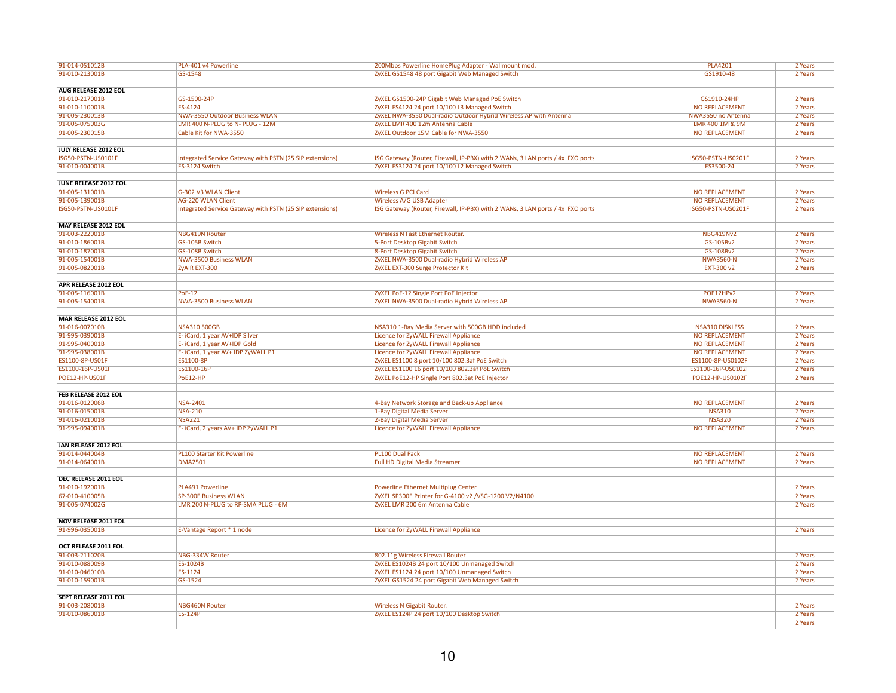| 91-014-051012B              | PLA-401 v4 Powerline                                     | 200Mbps Powerline HomePlug Adapter - Wallmount mod.                            | <b>PLA4201</b>         | 2 Years |
|-----------------------------|----------------------------------------------------------|--------------------------------------------------------------------------------|------------------------|---------|
| 91-010-213001B              | GS-1548                                                  | ZyXEL GS1548 48 port Gigabit Web Managed Switch                                | GS1910-48              | 2 Years |
|                             |                                                          |                                                                                |                        |         |
| AUG RELEASE 2012 EOL        |                                                          |                                                                                |                        |         |
| 91-010-217001B              | GS-1500-24P                                              | ZyXEL GS1500-24P Gigabit Web Managed PoE Switch                                | GS1910-24HP            | 2 Years |
| 91-010-110001B              | ES-4124                                                  | ZyXEL ES4124 24 port 10/100 L3 Managed Switch                                  | <b>NO REPLACEMENT</b>  | 2 Years |
| 91-005-230013B              | NWA-3550 Outdoor Business WLAN                           | ZyXEL NWA-3550 Dual-radio Outdoor Hybrid Wireless AP with Antenna              | NWA3550 no Antenna     | 2 Years |
| 91-005-075003G              | LMR 400 N-PLUG to N- PLUG - 12M                          | ZyXEL LMR 400 12m Antenna Cable                                                | LMR 400 1M & 9M        | 2 Years |
| 91-005-230015B              | Cable Kit for NWA-3550                                   | ZyXEL Outdoor 15M Cable for NWA-3550                                           | <b>NO REPLACEMENT</b>  | 2 Years |
|                             |                                                          |                                                                                |                        |         |
|                             |                                                          |                                                                                |                        |         |
| JULY RELEASE 2012 EOL       |                                                          |                                                                                |                        |         |
| ISG50-PSTN-US0101F          | Integrated Service Gateway with PSTN (25 SIP extensions) | ISG Gateway (Router, Firewall, IP-PBX) with 2 WANs, 3 LAN ports / 4x FXO ports | ISG50-PSTN-US0201F     | 2 Years |
| 91-010-004001B              | ES-3124 Switch                                           | ZyXEL ES3124 24 port 10/100 L2 Managed Switch                                  | ES3500-24              | 2 Years |
|                             |                                                          |                                                                                |                        |         |
| JUNE RELEASE 2012 EOL       |                                                          |                                                                                |                        |         |
| 91-005-131001B              | G-302 V3 WLAN Client                                     | <b>Wireless G PCI Card</b>                                                     | <b>NO REPLACEMENT</b>  | 2 Years |
| 91-005-139001B              | <b>AG-220 WLAN Client</b>                                | Wireless A/G USB Adapter                                                       | <b>NO REPLACEMENT</b>  | 2 Years |
| ISG50-PSTN-US0101F          | Integrated Service Gateway with PSTN (25 SIP extensions) | ISG Gateway (Router, Firewall, IP-PBX) with 2 WANs, 3 LAN ports / 4x FXO ports | ISG50-PSTN-US0201F     | 2 Years |
|                             |                                                          |                                                                                |                        |         |
| MAY RELEASE 2012 EOL        |                                                          |                                                                                |                        |         |
| 91-003-222001B              | <b>NBG419N Router</b>                                    | <b>Wireless N Fast Ethernet Router.</b>                                        | <b>NBG419Nv2</b>       | 2 Years |
| 91-010-186001B              | GS-105B Switch                                           | 5-Port Desktop Gigabit Switch                                                  | GS-105Bv2              | 2 Years |
| 91-010-187001B              | GS-108B Switch                                           | 8-Port Desktop Gigabit Switch                                                  | GS-108Bv2              | 2 Years |
| 91-005-154001B              | <b>NWA-3500 Business WLAN</b>                            | ZyXEL NWA-3500 Dual-radio Hybrid Wireless AP                                   | <b>NWA3560-N</b>       | 2 Years |
| 91-005-082001B              | ZyAIR EXT-300                                            | ZyXEL EXT-300 Surge Protector Kit                                              | EXT-300 v2             | 2 Years |
|                             |                                                          |                                                                                |                        |         |
| APR RELEASE 2012 EOL        |                                                          |                                                                                |                        |         |
|                             |                                                          |                                                                                |                        |         |
| 91-005-116001B              | <b>PoE-12</b>                                            | ZyXEL PoE-12 Single Port PoE Injector                                          | POE12HPv2              | 2 Years |
| 91-005-154001B              | <b>NWA-3500 Business WLAN</b>                            | ZyXEL NWA-3500 Dual-radio Hybrid Wireless AP                                   | <b>NWA3560-N</b>       | 2 Years |
|                             |                                                          |                                                                                |                        |         |
| MAR RELEASE 2012 EOL        |                                                          |                                                                                |                        |         |
| 91-016-007010B              | <b>NSA310 500GB</b>                                      | NSA310 1-Bay Media Server with 500GB HDD included                              | <b>NSA310 DISKLESS</b> | 2 Years |
| 91-995-039001B              | E- iCard, 1 year AV+IDP Silver                           | Licence for ZyWALL Firewall Appliance                                          | <b>NO REPLACEMENT</b>  | 2 Years |
| 91-995-040001B              | E-iCard, 1 year AV+IDP Gold                              | Licence for ZyWALL Firewall Appliance                                          | <b>NO REPLACEMENT</b>  | 2 Years |
| 91-995-038001B              | E- iCard, 1 year AV+ IDP ZyWALL P1                       | Licence for ZyWALL Firewall Appliance                                          | <b>NO REPLACEMENT</b>  | 2 Years |
| ES1100-8P-US01F             | ES1100-8P                                                | ZyXEL ES1100 8 port 10/100 802.3af PoE Switch                                  | ES1100-8P-US0102F      | 2 Years |
| ES1100-16P-US01F            | ES1100-16P                                               | ZyXEL ES1100 16 port 10/100 802.3af PoE Switch                                 | ES1100-16P-US0102F     | 2 Years |
| POE12-HP-US01F              | PoE12-HP                                                 | ZyXEL PoE12-HP Single Port 802.3at PoE Injector                                | POE12-HP-US0102F       | 2 Years |
|                             |                                                          |                                                                                |                        |         |
| FEB RELEASE 2012 EOL        |                                                          |                                                                                |                        |         |
| 91-016-012006B              | <b>NSA-2401</b>                                          | 4-Bay Network Storage and Back-up Appliance                                    | <b>NO REPLACEMENT</b>  | 2 Years |
| 91-016-015001B              | <b>NSA-210</b>                                           | 1-Bay Digital Media Server                                                     | <b>NSA310</b>          | 2 Years |
| 91-016-021001B              | <b>NSA221</b>                                            | 2-Bay Digital Media Server                                                     | <b>NSA320</b>          | 2 Years |
| 91-995-094001B              | E-iCard, 2 years AV+ IDP ZyWALL P1                       |                                                                                | <b>NO REPLACEMENT</b>  | 2 Years |
|                             |                                                          | Licence for ZyWALL Firewall Appliance                                          |                        |         |
|                             |                                                          |                                                                                |                        |         |
| JAN RELEASE 2012 EOL        |                                                          |                                                                                |                        |         |
| 91-014-044004B              | <b>PL100 Starter Kit Powerline</b>                       | PL100 Dual Pack                                                                | <b>NO REPLACEMENT</b>  | 2 Years |
| 91-014-064001B              | <b>DMA2501</b>                                           | <b>Full HD Digital Media Streamer</b>                                          | <b>NO REPLACEMENT</b>  | 2 Years |
|                             |                                                          |                                                                                |                        |         |
| DEC RELEASE 2011 EOL        |                                                          |                                                                                |                        |         |
| 91-010-192001B              | <b>PLA491 Powerline</b>                                  | <b>Powerline Ethernet Multiplug Center</b>                                     |                        | 2 Years |
| 67-010-410005B              | <b>SP-300E Business WLAN</b>                             | ZyXEL SP300E Printer for G-4100 v2 / VSG-1200 V2/N4100                         |                        | 2 Years |
| 91-005-074002G              | LMR 200 N-PLUG to RP-SMA PLUG - 6M                       | ZyXEL LMR 200 6m Antenna Cable                                                 |                        | 2 Years |
|                             |                                                          |                                                                                |                        |         |
| <b>NOV RELEASE 2011 EOL</b> |                                                          |                                                                                |                        |         |
| 91-996-035001B              | E-Vantage Report * 1 node                                | Licence for ZyWALL Firewall Appliance                                          |                        | 2 Years |
|                             |                                                          |                                                                                |                        |         |
| OCT RELEASE 2011 EOL        |                                                          |                                                                                |                        |         |
| 91-003-211020B              | NBG-334W Router                                          | 802.11g Wireless Firewall Router                                               |                        | 2 Years |
| 91-010-088009B              | ES-1024B                                                 | ZyXEL ES1024B 24 port 10/100 Unmanaged Switch                                  |                        | 2 Years |
| 91-010-046010B              | ES-1124                                                  | ZyXEL ES1124 24 port 10/100 Unmanaged Switch                                   |                        | 2 Years |
| 91-010-159001B              | GS-1524                                                  | ZyXEL GS1524 24 port Gigabit Web Managed Switch                                |                        | 2 Years |
|                             |                                                          |                                                                                |                        |         |
| SEPT RELEASE 2011 EOL       |                                                          |                                                                                |                        |         |
|                             |                                                          |                                                                                |                        |         |
| 91-003-208001B              | <b>NBG460N Router</b>                                    | <b>Wireless N Gigabit Router.</b>                                              |                        | 2 Years |
| 91-010-086001B              | <b>ES-124P</b>                                           | ZyXEL ES124P 24 port 10/100 Desktop Switch                                     |                        | 2 Years |
|                             |                                                          |                                                                                |                        | 2 Years |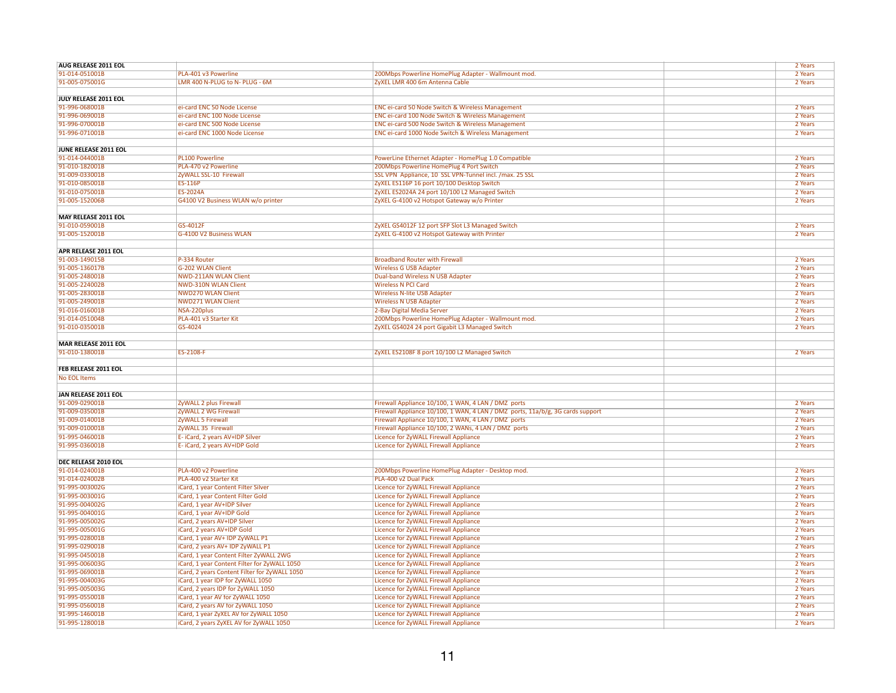| AUG RELEASE 2011 EOL             |                                                                                   |                                                                                | 2 Years            |
|----------------------------------|-----------------------------------------------------------------------------------|--------------------------------------------------------------------------------|--------------------|
| 91-014-051001B                   | PLA-401 v3 Powerline                                                              | 200Mbps Powerline HomePlug Adapter - Wallmount mod.                            | 2 Years            |
| 91-005-075001G                   | LMR 400 N-PLUG to N- PLUG - 6M                                                    | ZyXEL LMR 400 6m Antenna Cable                                                 | 2 Years            |
|                                  |                                                                                   |                                                                                |                    |
|                                  |                                                                                   |                                                                                |                    |
| JULY RELEASE 2011 EOL            |                                                                                   |                                                                                |                    |
| 91-996-068001B                   | ei-card ENC 50 Node License                                                       | ENC ei-card 50 Node Switch & Wireless Management                               | 2 Years            |
| 91-996-069001B                   | ei-card ENC 100 Node License                                                      | ENC ei-card 100 Node Switch & Wireless Management                              | 2 Years            |
| 91-996-070001B                   | ei-card ENC 500 Node License                                                      | ENC ei-card 500 Node Switch & Wireless Management                              | 2 Years            |
| 91-996-071001B                   | ei-card ENC 1000 Node License                                                     | ENC ei-card 1000 Node Switch & Wireless Management                             | 2 Years            |
|                                  |                                                                                   |                                                                                |                    |
| JUNE RELEASE 2011 EOL            |                                                                                   |                                                                                |                    |
|                                  |                                                                                   |                                                                                |                    |
| 91-014-044001B                   | <b>PL100 Powerline</b>                                                            | PowerLine Ethernet Adapter - HomePlug 1.0 Compatible                           | 2 Years            |
| 91-010-182001B                   | PLA-470 v2 Powerline                                                              | 200Mbps Powerline HomePlug 4 Port Switch                                       | 2 Years            |
| 91-009-033001B                   | ZyWALL SSL-10 Firewall                                                            | SSL VPN Appliance, 10 SSL VPN-Tunnel incl. /max. 25 SSL                        | 2 Years            |
| 91-010-085001B                   | <b>ES-116P</b>                                                                    | ZyXEL ES116P 16 port 10/100 Desktop Switch                                     | 2 Years            |
| 91-010-075001B                   | ES-2024A                                                                          | ZyXEL ES2024A 24 port 10/100 L2 Managed Switch                                 | 2 Years            |
| 91-005-152006B                   | G4100 V2 Business WLAN w/o printer                                                | ZyXEL G-4100 v2 Hotspot Gateway w/o Printer                                    | 2 Years            |
|                                  |                                                                                   |                                                                                |                    |
|                                  |                                                                                   |                                                                                |                    |
| <b>MAY RELEASE 2011 EOL</b>      |                                                                                   |                                                                                |                    |
| 91-010-059001B                   | GS-4012F                                                                          | ZyXEL GS4012F 12 port SFP Slot L3 Managed Switch                               | 2 Years            |
| 91-005-152001B                   | G-4100 V2 Business WLAN                                                           | ZyXEL G-4100 v2 Hotspot Gateway with Printer                                   | 2 Years            |
|                                  |                                                                                   |                                                                                |                    |
| APR RELEASE 2011 EOL             |                                                                                   |                                                                                |                    |
| 91-003-149015B                   | P-334 Router                                                                      | <b>Broadband Router with Firewall</b>                                          | 2 Years            |
|                                  |                                                                                   |                                                                                |                    |
| 91-005-136017B                   | G-202 WLAN Client                                                                 | <b>Wireless G USB Adapter</b>                                                  | 2 Years            |
| 91-005-248001B                   | <b>NWD-211AN WLAN Client</b>                                                      | <b>Dual-band Wireless N USB Adapter</b>                                        | 2 Years            |
| 91-005-224002B                   | <b>NWD-310N WLAN Client</b>                                                       | <b>Wireless N PCI Card</b>                                                     | 2 Years            |
| 91-005-283001B                   | <b>NWD270 WLAN Client</b>                                                         | <b>Wireless N-lite USB Adapter</b>                                             | 2 Years            |
| 91-005-249001B                   | <b>NWD271 WLAN Client</b>                                                         | <b>Wireless N USB Adapter</b>                                                  | 2 Years            |
| 91-016-016001B                   | NSA-220plus                                                                       | 2-Bay Digital Media Server                                                     | 2 Years            |
| 91-014-051004B                   | PLA-401 v3 Starter Kit                                                            | 200Mbps Powerline HomePlug Adapter - Wallmount mod.                            | 2 Years            |
|                                  |                                                                                   |                                                                                |                    |
| 91-010-035001B                   | GS-4024                                                                           | ZyXEL GS4024 24 port Gigabit L3 Managed Switch                                 | 2 Years            |
|                                  |                                                                                   |                                                                                |                    |
| <b>MAR RELEASE 2011 EOL</b>      |                                                                                   |                                                                                |                    |
| 91-010-138001B                   | ES-2108-F                                                                         | ZyXEL ES2108F 8 port 10/100 L2 Managed Switch                                  | 2 Years            |
|                                  |                                                                                   |                                                                                |                    |
| FEB RELEASE 2011 EOL             |                                                                                   |                                                                                |                    |
|                                  |                                                                                   |                                                                                |                    |
| No EOL Items                     |                                                                                   |                                                                                |                    |
|                                  |                                                                                   |                                                                                |                    |
|                                  |                                                                                   |                                                                                |                    |
| <b>JAN RELEASE 2011 EOL</b>      |                                                                                   |                                                                                |                    |
| 91-009-029001B                   | ZyWALL 2 plus Firewall                                                            | Firewall Appliance 10/100, 1 WAN, 4 LAN / DMZ ports                            | 2 Years            |
|                                  |                                                                                   |                                                                                |                    |
| 91-009-035001B                   | ZyWALL 2 WG Firewall                                                              | Firewall Appliance 10/100, 1 WAN, 4 LAN / DMZ ports, 11a/b/g, 3G cards support | 2 Years            |
| 91-009-014001B                   | ZyWALL 5 Firewall                                                                 | Firewall Appliance 10/100, 1 WAN, 4 LAN / DMZ ports                            | 2 Years            |
| 91-009-010001B                   | ZyWALL 35 Firewal                                                                 | Firewall Appliance 10/100, 2 WANs, 4 LAN / DMZ ports                           | 2 Years            |
| 91-995-046001B                   | E- iCard, 2 years AV+IDP Silver                                                   | Licence for ZyWALL Firewall Appliance                                          | 2 Years            |
| 91-995-036001B                   | E- iCard, 2 years AV+IDP Gold                                                     | Licence for ZyWALL Firewall Appliance                                          | 2 Years            |
|                                  |                                                                                   |                                                                                |                    |
| DEC RELEASE 2010 EOL             |                                                                                   |                                                                                |                    |
| 91-014-024001B                   | PLA-400 v2 Powerline                                                              |                                                                                | 2 Years            |
|                                  |                                                                                   | 200Mbps Powerline HomePlug Adapter - Desktop mod.                              |                    |
| 91-014-024002B                   | PLA-400 v2 Starter Kit                                                            | PLA-400 v2 Dual Pack                                                           | 2 Years            |
| 91-995-003002G                   | iCard, 1 year Content Filter Silver                                               | Licence for ZyWALL Firewall Appliance                                          | 2 Years            |
| 91-995-003001G                   | iCard, 1 year Content Filter Gold                                                 | Licence for ZyWALL Firewall Appliance                                          | 2 Years            |
| 91-995-004002G                   | iCard, 1 year AV+IDP Silver                                                       | Licence for ZyWALL Firewall Appliance                                          | 2 Years            |
| 91-995-004001G                   | iCard, 1 year AV+IDP Gold                                                         | Licence for ZyWALL Firewall Appliance                                          | 2 Years            |
| 91-995-005002G                   | iCard, 2 years AV+IDP Silver                                                      | Licence for ZyWALL Firewall Appliance                                          | 2 Years            |
|                                  |                                                                                   |                                                                                |                    |
| 91-995-005001G                   | iCard, 2 years AV+IDP Gold                                                        | Licence for ZyWALL Firewall Appliance                                          | 2 Years            |
| 91-995-028001B                   | iCard, 1 year AV+ IDP ZyWALL P1                                                   | Licence for ZyWALL Firewall Appliance                                          | 2 Years            |
| 91-995-029001B                   | iCard, 2 years AV+ IDP ZyWALL P1                                                  | Licence for ZyWALL Firewall Appliance                                          | 2 Years            |
| 91-995-045001B                   | iCard, 1 year Content Filter ZyWALL 2WG                                           | Licence for ZyWALL Firewall Appliance                                          | 2 Years            |
| 91-995-006003G                   | iCard, 1 year Content Filter for ZyWALL 1050                                      | Licence for ZyWALL Firewall Appliance                                          | 2 Years            |
| 91-995-069001B                   | iCard, 2 years Content Filter for ZyWALL 1050                                     | Licence for ZyWALL Firewall Appliance                                          | 2 Years            |
| 91-995-004003G                   |                                                                                   |                                                                                | 2 Years            |
|                                  | iCard, 1 year IDP for ZyWALL 1050                                                 | Licence for ZyWALL Firewall Appliance                                          |                    |
| 91-995-005003G                   | iCard, 2 years IDP for ZyWALL 1050                                                | Licence for ZyWALL Firewall Appliance                                          | 2 Years            |
| 91-995-055001B                   | iCard, 1 year AV for ZyWALL 1050                                                  | Licence for ZyWALL Firewall Appliance                                          | 2 Years            |
| 91-995-056001B                   | iCard, 2 years AV for ZyWALL 1050                                                 | Licence for ZyWALL Firewall Appliance                                          | 2 Years            |
| 91-995-146001B<br>91-995-128001B | iCard, 1 year ZyXEL AV for ZyWALL 1050<br>iCard, 2 years ZyXEL AV for ZyWALL 1050 | Licence for ZyWALL Firewall Appliance<br>Licence for ZyWALL Firewall Appliance | 2 Years<br>2 Years |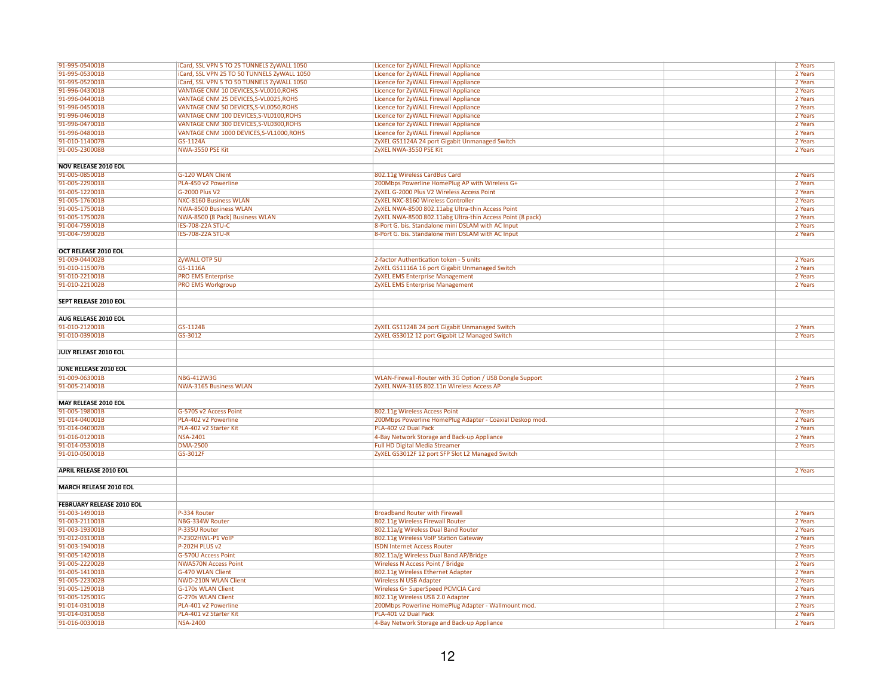| 91-995-054001B                   | iCard, SSL VPN 5 TO 25 TUNNELS ZyWALL 1050  | Licence for ZyWALL Firewall Appliance                     | 2 Years |
|----------------------------------|---------------------------------------------|-----------------------------------------------------------|---------|
| 91-995-053001B                   | iCard, SSL VPN 25 TO 50 TUNNELS ZyWALL 1050 | Licence for ZyWALL Firewall Appliance                     | 2 Years |
| 91-995-052001B                   | iCard, SSL VPN 5 TO 50 TUNNELS ZyWALL 1050  | Licence for ZyWALL Firewall Appliance                     | 2 Years |
| 91-996-043001B                   | VANTAGE CNM 10 DEVICES, S-VL0010, ROHS      | Licence for ZyWALL Firewall Appliance                     | 2 Years |
| 91-996-044001B                   | VANTAGE CNM 25 DEVICES, S-VL0025, ROHS      | Licence for ZyWALL Firewall Appliance                     | 2 Years |
| 91-996-045001B                   | VANTAGE CNM 50 DEVICES, S-VL0050, ROHS      | Licence for ZyWALL Firewall Appliance                     | 2 Years |
| 91-996-046001B                   | VANTAGE CNM 100 DEVICES, S-VL0100, ROHS     | Licence for ZyWALL Firewall Appliance                     | 2 Years |
| 91-996-047001B                   | VANTAGE CNM 300 DEVICES, S-VL0300, ROHS     | Licence for ZyWALL Firewall Appliance                     | 2 Years |
| 91-996-048001B                   | VANTAGE CNM 1000 DEVICES, S-VL1000, ROHS    | Licence for ZyWALL Firewall Appliance                     | 2 Years |
| 91-010-114007B                   | GS-1124A                                    | ZyXEL GS1124A 24 port Gigabit Unmanaged Switch            | 2 Years |
| 91-005-230008B                   | NWA-3550 PSE Kit                            | ZyXEL NWA-3550 PSE Kit                                    | 2 Years |
|                                  |                                             |                                                           |         |
| <b>NOV RELEASE 2010 EOL</b>      |                                             |                                                           |         |
| 91-005-085001B                   | <b>G-120 WLAN Client</b>                    | 802.11g Wireless CardBus Card                             | 2 Years |
| 91-005-229001B                   | PLA-450 v2 Powerline                        | 200Mbps Powerline HomePlug AP with Wireless G+            | 2 Years |
| 91-005-122001B                   | G-2000 Plus V2                              | ZyXEL G-2000 Plus V2 Wireless Access Point                | 2 Years |
| 91-005-176001B                   | <b>NXC-8160 Business WLAN</b>               | ZyXEL NXC-8160 Wireless Controller                        | 2 Years |
| 91-005-175001B                   | <b>NWA-8500 Business WLAN</b>               | ZyXEL NWA-8500 802.11abg Ultra-thin Access Point          | 2 Years |
| 91-005-175002B                   | NWA-8500 (8 Pack) Business WLAN             | ZyXEL NWA-8500 802.11abg Ultra-thin Access Point (8 pack) | 2 Years |
| 91-004-759001B                   | IES-708-22A STU-C                           | 8-Port G. bis. Standalone mini DSLAM with AC Input        | 2 Years |
| 91-004-759002B                   | <b>IES-708-22A STU-R</b>                    | 8-Port G. bis. Standalone mini DSLAM with AC Input        | 2 Years |
|                                  |                                             |                                                           |         |
| OCT RELEASE 2010 EOL             |                                             |                                                           |         |
| 91-009-044002B                   | ZyWALL OTP 5U                               | 2-factor Authentication token - 5 units                   | 2 Years |
| 91-010-115007B                   | GS-1116A                                    | ZyXEL GS1116A 16 port Gigabit Unmanaged Switch            | 2 Years |
| 91-010-221001B                   | <b>PRO EMS Enterprise</b>                   | <b>ZyXEL EMS Enterprise Management</b>                    | 2 Years |
| 91-010-221002B                   | <b>PRO EMS Workgroup</b>                    | <b>ZyXEL EMS Enterprise Management</b>                    | 2 Years |
|                                  |                                             |                                                           |         |
| SEPT RELEASE 2010 EOL            |                                             |                                                           |         |
|                                  |                                             |                                                           |         |
| AUG RELEASE 2010 EOL             |                                             |                                                           |         |
| 91-010-212001B                   | GS-1124B                                    | ZyXEL GS1124B 24 port Gigabit Unmanaged Switch            | 2 Years |
| 91-010-039001B                   | GS-3012                                     | ZyXEL GS3012 12 port Gigabit L2 Managed Switch            | 2 Years |
|                                  |                                             |                                                           |         |
| JULY RELEASE 2010 EOL            |                                             |                                                           |         |
|                                  |                                             |                                                           |         |
| JUNE RELEASE 2010 EOL            |                                             |                                                           |         |
| 91-009-063001B                   | <b>NBG-412W3G</b>                           | WLAN-Firewall-Router with 3G Option / USB Dongle Support  | 2 Years |
| 91-005-214001B                   | <b>NWA-3165 Business WLAN</b>               | ZyXEL NWA-3165 802.11n Wireless Access AP                 | 2 Years |
|                                  |                                             |                                                           |         |
| <b>MAY RELEASE 2010 EOL</b>      |                                             |                                                           |         |
| 91-005-198001B                   | G-570S v2 Access Point                      | 802.11g Wireless Access Point                             | 2 Years |
| 91-014-040001B                   | PLA-402 v2 Powerline                        | 200Mbps Powerline HomePlug Adapter - Coaxial Deskop mod.  | 2 Years |
| 91-014-040002B                   | PLA-402 v2 Starter Kit                      | PLA-402 v2 Dual Pack                                      | 2 Years |
| 91-016-012001B                   | <b>NSA-2401</b>                             | 4-Bay Network Storage and Back-up Appliance               | 2 Years |
| 91-014-053001B                   | <b>DMA-2500</b>                             | <b>Full HD Digital Media Streamer</b>                     | 2 Years |
| 91-010-050001B                   | GS-3012F                                    | ZyXEL GS3012F 12 port SFP Slot L2 Managed Switch          |         |
|                                  |                                             |                                                           |         |
| <b>APRIL RELEASE 2010 EOL</b>    |                                             |                                                           | 2 Years |
|                                  |                                             |                                                           |         |
| <b>MARCH RELEASE 2010 EOL</b>    |                                             |                                                           |         |
|                                  |                                             |                                                           |         |
| <b>FEBRUARY RELEASE 2010 EOL</b> |                                             |                                                           |         |
| 91-003-149001B                   | P-334 Router                                | <b>Broadband Router with Firewall</b>                     | 2 Years |
| 91-003-211001B                   | NBG-334W Router                             | 802.11g Wireless Firewall Router                          | 2 Years |
| 91-003-193001B                   | P-335U Router                               | 802.11a/g Wireless Dual Band Router                       | 2 Years |
| 91-012-031001B                   | P-2302HWL-P1 VoIP                           | 802.11g Wireless VoIP Station Gateway                     | 2 Years |
| 91-003-194001B                   | P-202H PLUS v2                              | <b>ISDN Internet Access Router</b>                        | 2 Years |
| 91-005-142001B                   | <b>G-570U Access Point</b>                  | 802.11a/g Wireless Dual Band AP/Bridge                    | 2 Years |
| 91-005-222002B                   | <b>NWA570N Access Point</b>                 | <b>Wireless N Access Point / Bridge</b>                   | 2 Years |
| 91-005-141001B                   | <b>G-470 WLAN Client</b>                    | 802.11g Wireless Ethernet Adapter                         | 2 Years |
| 91-005-223002B                   | <b>NWD-210N WLAN Client</b>                 | <b>Wireless N USB Adapter</b>                             | 2 Years |
| 91-005-129001B                   | <b>G-170s WLAN Client</b>                   | Wireless G+ SuperSpeed PCMCIA Card                        | 2 Years |
| 91-005-125001G                   | G-270s WLAN Client                          | 802.11g Wireless USB 2.0 Adapter                          | 2 Years |
| 91-014-031001B                   | PLA-401 v2 Powerline                        | 200Mbps Powerline HomePlug Adapter - Wallmount mod.       | 2 Years |
| 91-014-031005B                   | PLA-401 v2 Starter Kit                      | PLA-401 v2 Dual Pack                                      | 2 Years |
| 91-016-003001B                   | <b>NSA-2400</b>                             | 4-Bay Network Storage and Back-up Appliance               | 2 Years |
|                                  |                                             |                                                           |         |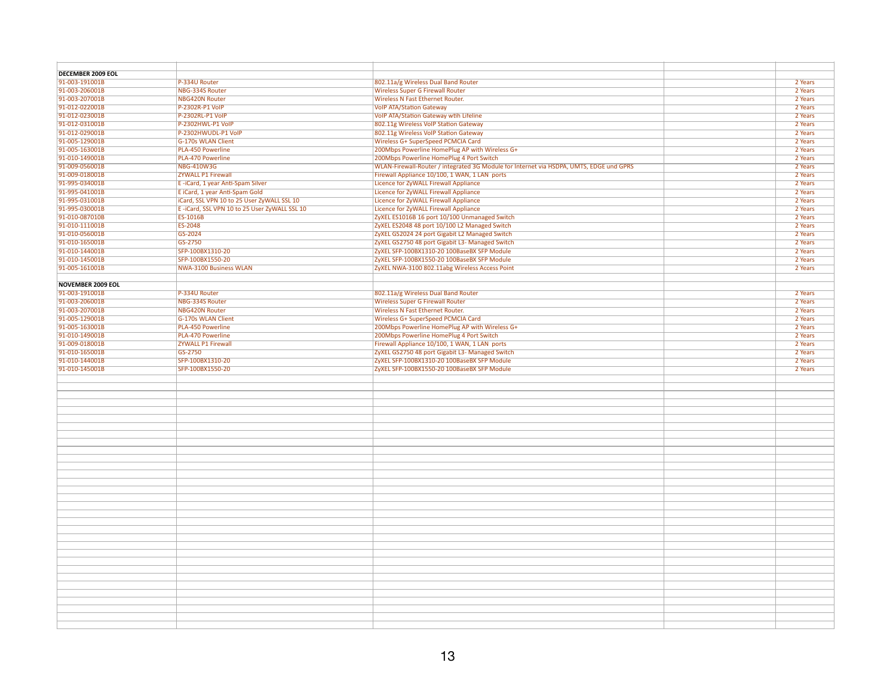| <b>DECEMBER 2009 EOL</b> |                                              |                                                                                         |         |
|--------------------------|----------------------------------------------|-----------------------------------------------------------------------------------------|---------|
| 91-003-191001B           | P-334U Router                                | 802.11a/g Wireless Dual Band Router                                                     | 2 Years |
| 91-003-206001B           | NBG-334S Router                              | <b>Wireless Super G Firewall Router</b>                                                 | 2 Years |
| 91-003-207001B           | <b>NBG420N Router</b>                        | Wireless N Fast Ethernet Router.                                                        | 2 Years |
| 91-012-022001B           | P-2302R-P1 VolP                              | <b>VoIP ATA/Station Gateway</b>                                                         | 2 Years |
| 91-012-023001B           | P-2302RL-P1 VolP                             | VoIP ATA/Station Gateway wtih Lifeline                                                  | 2 Years |
| 91-012-031001B           | P-2302HWL-P1 VolP                            | 802.11g Wireless VoIP Station Gateway                                                   | 2 Years |
| 91-012-029001B           | P-2302HWUDL-P1 VoIP                          | 802.11g Wireless VoIP Station Gateway                                                   | 2 Years |
| 91-005-129001B           | <b>G-170s WLAN Client</b>                    | Wireless G+ SuperSpeed PCMCIA Card                                                      | 2 Years |
| 91-005-163001B           | PLA-450 Powerline                            | 200Mbps Powerline HomePlug AP with Wireless G+                                          | 2 Years |
| 91-010-149001B           | <b>PLA-470 Powerline</b>                     | 200Mbps Powerline HomePlug 4 Port Switch                                                | 2 Years |
| 91-009-056001B           | <b>NBG-410W3G</b>                            | WLAN-Firewall-Router / integrated 3G Module for Internet via HSDPA, UMTS, EDGE und GPRS | 2 Years |
| 91-009-018001B           | <b>ZYWALL P1 Firewall</b>                    | Firewall Appliance 10/100, 1 WAN, 1 LAN ports                                           | 2 Years |
| 91-995-034001B           | E-iCard, 1 year Anti-Spam Silver             | Licence for ZyWALL Firewall Appliance                                                   | 2 Years |
| 91-995-041001B           | E iCard, 1 year Anti-Spam Gold               | Licence for ZyWALL Firewall Appliance                                                   | 2 Years |
| 91-995-031001B           | iCard, SSL VPN 10 to 25 User ZyWALL SSL 10   | Licence for ZyWALL Firewall Appliance                                                   | 2 Years |
| 91-995-030001B           | E-iCard, SSL VPN 10 to 25 User ZyWALL SSL 10 | Licence for ZyWALL Firewall Appliance                                                   | 2 Years |
| 91-010-087010B           | ES-1016B                                     | ZyXEL ES1016B 16 port 10/100 Unmanaged Switch                                           | 2 Years |
| 91-010-111001B           | ES-2048                                      | ZyXEL ES2048 48 port 10/100 L2 Managed Switch                                           | 2 Years |
| 91-010-056001B           | GS-2024                                      | ZyXEL GS2024 24 port Gigabit L2 Managed Switch                                          | 2 Years |
| 91-010-165001B           | GS-2750                                      | ZyXEL GS2750 48 port Gigabit L3- Managed Switch                                         | 2 Years |
| 91-010-144001B           | SFP-100BX1310-20                             | ZyXEL SFP-100BX1310-20 100BaseBX SFP Module                                             | 2 Years |
|                          |                                              |                                                                                         |         |
| 91-010-145001B           | SFP-100BX1550-20                             | ZyXEL SFP-100BX1550-20 100BaseBX SFP Module                                             | 2 Years |
| 91-005-161001B           | <b>NWA-3100 Business WLAN</b>                | ZyXEL NWA-3100 802.11abg Wireless Access Point                                          | 2 Years |
|                          |                                              |                                                                                         |         |
| <b>NOVEMBER 2009 EOL</b> |                                              |                                                                                         |         |
| 91-003-191001B           | P-334U Router                                | 802.11a/g Wireless Dual Band Router                                                     | 2 Years |
| 91-003-206001B           | NBG-334S Router                              | <b>Wireless Super G Firewall Router</b>                                                 | 2 Years |
| 91-003-207001B           | <b>NBG420N Router</b>                        | Wireless N Fast Ethernet Router.                                                        | 2 Years |
| 91-005-129001B           | <b>G-170s WLAN Client</b>                    | Wireless G+ SuperSpeed PCMCIA Card                                                      | 2 Years |
| 91-005-163001B           | PLA-450 Powerline                            | 200Mbps Powerline HomePlug AP with Wireless G+                                          | 2 Years |
| 91-010-149001B           | PLA-470 Powerline                            | 200Mbps Powerline HomePlug 4 Port Switch                                                | 2 Years |
| 91-009-018001B           | <b>ZYWALL P1 Firewall</b>                    | Firewall Appliance 10/100, 1 WAN, 1 LAN ports                                           | 2 Years |
| 91-010-165001B           | GS-2750                                      | ZyXEL GS2750 48 port Gigabit L3- Managed Switch                                         | 2 Years |
| 91-010-144001B           | SFP-100BX1310-20                             | ZyXEL SFP-100BX1310-20 100BaseBX SFP Module                                             | 2 Years |
| 91-010-145001B           | SFP-100BX1550-20                             | ZyXEL SFP-100BX1550-20 100BaseBX SFP Module                                             | 2 Years |
|                          |                                              |                                                                                         |         |
|                          |                                              |                                                                                         |         |
|                          |                                              |                                                                                         |         |
|                          |                                              |                                                                                         |         |
|                          |                                              |                                                                                         |         |
|                          |                                              |                                                                                         |         |
|                          |                                              |                                                                                         |         |
|                          |                                              |                                                                                         |         |
|                          |                                              |                                                                                         |         |
|                          |                                              |                                                                                         |         |
|                          |                                              |                                                                                         |         |
|                          |                                              |                                                                                         |         |
|                          |                                              |                                                                                         |         |
|                          |                                              |                                                                                         |         |
|                          |                                              |                                                                                         |         |
|                          |                                              |                                                                                         |         |
|                          |                                              |                                                                                         |         |
|                          |                                              |                                                                                         |         |
|                          |                                              |                                                                                         |         |
|                          |                                              |                                                                                         |         |
|                          |                                              |                                                                                         |         |
|                          |                                              |                                                                                         |         |
|                          |                                              |                                                                                         |         |
|                          |                                              |                                                                                         |         |
|                          |                                              |                                                                                         |         |
|                          |                                              |                                                                                         |         |
|                          |                                              |                                                                                         |         |
|                          |                                              |                                                                                         |         |
|                          |                                              |                                                                                         |         |
|                          |                                              |                                                                                         |         |
|                          |                                              |                                                                                         |         |
|                          |                                              |                                                                                         |         |